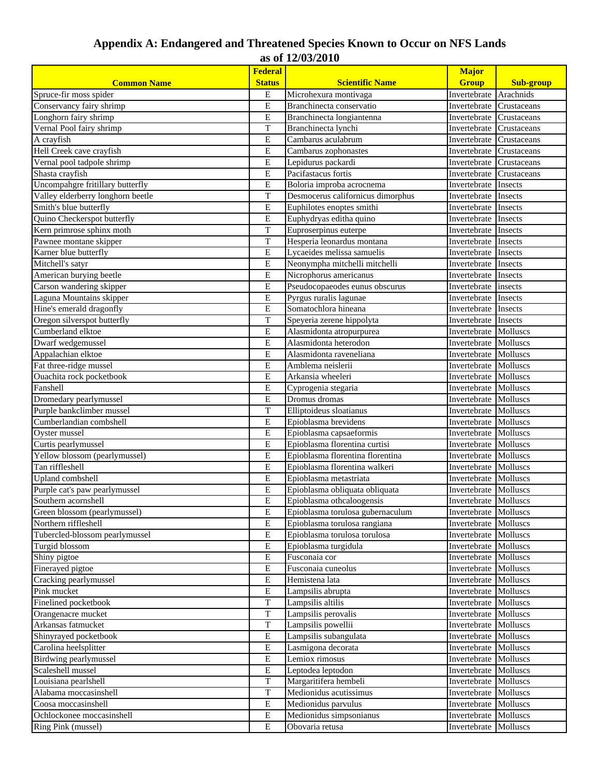## **Appendix A: Endangered and Threatened Species Known to Occur on NFS Lands as of 12/03/2010**

|                                   | <b>Federal</b>             |                                       |                              |                  |
|-----------------------------------|----------------------------|---------------------------------------|------------------------------|------------------|
| <b>Common Name</b>                | <b>Status</b>              | <b>Scientific Name</b>                | <b>Group</b>                 | <b>Sub-group</b> |
| Spruce-fir moss spider            | E                          | Microhexura montivaga                 | Invertebrate                 | Arachnids        |
| Conservancy fairy shrimp          | E                          | Branchinecta conservatio              | Invertebrate                 | Crustaceans      |
| Longhorn fairy shrimp             | ${\bf E}$                  | Branchinecta longiantenna             | Invertebrate                 | Crustaceans      |
| Vernal Pool fairy shrimp          | T                          | Branchinecta lynchi                   | Invertebrate                 | Crustaceans      |
| A crayfish                        | E                          | Cambarus aculabrum                    | Invertebrate                 | Crustaceans      |
| Hell Creek cave crayfish          | E                          | Cambarus zophonastes                  | Invertebrate                 | Crustaceans      |
| Vernal pool tadpole shrimp        | $\overline{E}$             | Lepidurus packardi                    | Invertebrate                 | Crustaceans      |
| Shasta crayfish                   | E                          | Pacifastacus fortis                   | Invertebrate                 | Crustaceans      |
| Uncompahgre fritillary butterfly  | E                          | Boloria improba acrocnema             | Invertebrate                 | Insects          |
| Valley elderberry longhorn beetle | T                          | Desmocerus californicus dimorphus     | Invertebrate                 | Insects          |
| Smith's blue butterfly            | E                          | Euphilotes enoptes smithi             | Invertebrate                 | Insects          |
| Quino Checkerspot butterfly       | Е                          | Euphydryas editha quino               | Invertebrate                 | Insects          |
| Kern primrose sphinx moth         | T                          | Euproserpinus euterpe                 | Invertebrate                 | Insects          |
| Pawnee montane skipper            | T                          | Hesperia leonardus montana            | Invertebrate                 | Insects          |
| Karner blue butterfly             | E                          | Lycaeides melissa samuelis            | Invertebrate                 | Insects          |
| Mitchell's satyr                  | $\overline{E}$             | Neonympha mitchelli mitchelli         | Invertebrate                 | Insects          |
| American burying beetle           | E                          | Nicrophorus americanus                | Invertebrate                 | Insects          |
| Carson wandering skipper          | E                          | Pseudocopaeodes eunus obscurus        | Invertebrate                 | insects          |
| Laguna Mountains skipper          | E                          | Pyrgus ruralis lagunae                | Invertebrate                 | Insects          |
| Hine's emerald dragonfly          | ${\bf E}$                  | Somatochlora hineana                  | Invertebrate                 | Insects          |
| Oregon silverspot butterfly       | T                          | Speyeria zerene hippolyta             | Invertebrate                 | Insects          |
| Cumberland elktoe                 | $\overline{E}$             | Alasmidonta atropurpurea              | Invertebrate                 | Molluscs         |
| Dwarf wedgemussel                 | E                          | Alasmidonta heterodon                 | Invertebrate                 | Molluscs         |
| Appalachian elktoe                | E                          | Alasmidonta raveneliana               | Invertebrate                 | Molluscs         |
| Fat three-ridge mussel            | E                          | Amblema neislerii                     | Invertebrate                 | Molluscs         |
| <b>Ouachita</b> rock pocketbook   | E                          | Arkansia wheeleri                     | Invertebrate                 | Molluscs         |
| Fanshell                          | Е                          | Cyprogenia stegaria                   | Invertebrate                 | Molluscs         |
| Dromedary pearlymussel            | E                          | Dromus dromas                         | Invertebrate                 | Molluscs         |
| Purple bankclimber mussel         | T                          | Elliptoideus sloatianus               | Invertebrate                 | Molluscs         |
| Cumberlandian combshell           | E                          | Epioblasma brevidens                  | Invertebrate                 | Molluscs         |
| Oyster mussel                     | E                          | Epioblasma capsaeformis               | Invertebrate<br>Invertebrate | Molluscs         |
| Curtis pearlymussel               |                            | E<br>Epioblasma florentina curtisi    |                              | Molluscs         |
| Yellow blossom (pearlymussel)     | E                          | Epioblasma florentina florentina      | Invertebrate                 | Molluscs         |
| Tan riffleshell                   | ${\bf E}$                  | Epioblasma florentina walkeri         | Invertebrate                 | Molluscs         |
| Upland combshell                  | ${\bf E}$                  | Epioblasma metastriata                | Invertebrate                 | Molluscs         |
| Purple cat's paw pearlymussel     | Е                          | Epioblasma obliquata obliquata        | Invertebrate Molluscs        |                  |
| Southern acornshell               | E                          | Epioblasma othcaloogensis             | Invertebrate Molluscs        |                  |
| Green blossom (pearlymussel)      | E                          | Epioblasma torulosa gubernaculum      | Invertebrate Molluscs        |                  |
| Northern riffleshell              | E                          | Epioblasma torulosa rangiana          | Invertebrate                 | Molluscs         |
| Tubercled-blossom pearlymussel    | E                          | Epioblasma torulosa torulosa          | Invertebrate                 | Molluscs         |
| Turgid blossom                    | $\overline{E}$             | Epioblasma turgidula                  | Invertebrate                 | Molluscs         |
| Shiny pigtoe                      | $\mathbf E$                | Fusconaia cor                         | Invertebrate                 | Molluscs         |
| Finerayed pigtoe                  | E                          | Fusconaia cuneolus                    | Invertebrate                 | Molluscs         |
| Cracking pearlymussel             | E                          | Hemistena lata                        | Invertebrate                 | Molluscs         |
| Pink mucket                       | ${\bf E}$                  | Lampsilis abrupta                     | Invertebrate<br>Invertebrate | Molluscs         |
| Finelined pocketbook              |                            | $\overline{T}$<br>Lampsilis altilis   |                              | Molluscs         |
| Orangenacre mucket                |                            | $\overline{T}$<br>Lampsilis perovalis |                              | Molluscs         |
| Arkansas fatmucket                |                            | $\overline{T}$<br>Lampsilis powellii  |                              | Molluscs         |
| Shinyrayed pocketbook             | E<br>Lampsilis subangulata |                                       | Invertebrate                 | Molluscs         |
| Carolina heelsplitter             | E<br>Lasmigona decorata    |                                       | Invertebrate<br>Invertebrate | Molluscs         |
| Birdwing pearlymussel             |                            | E<br>Lemiox rimosus                   |                              | Molluscs         |
| Scaleshell mussel                 | E                          | Leptodea leptodon                     | Invertebrate                 | Molluscs         |
| Louisiana pearlshell              | $\mathbf T$                | Margaritifera hembeli                 | Invertebrate                 | <b>Molluscs</b>  |
| Alabama moccasinshell             | $\overline{T}$             | Medionidus acutissimus                | Invertebrate                 | Molluscs         |
| Coosa moccasinshell               | $\mathbf E$                | Medionidus parvulus                   | Invertebrate                 | Molluscs         |
| Ochlockonee moccasinshell         | Е                          | Medionidus simpsonianus               | Invertebrate                 | Molluscs         |
| Ring Pink (mussel)                | $\mathbf E$                | Obovaria retusa                       | Invertebrate                 | Molluscs         |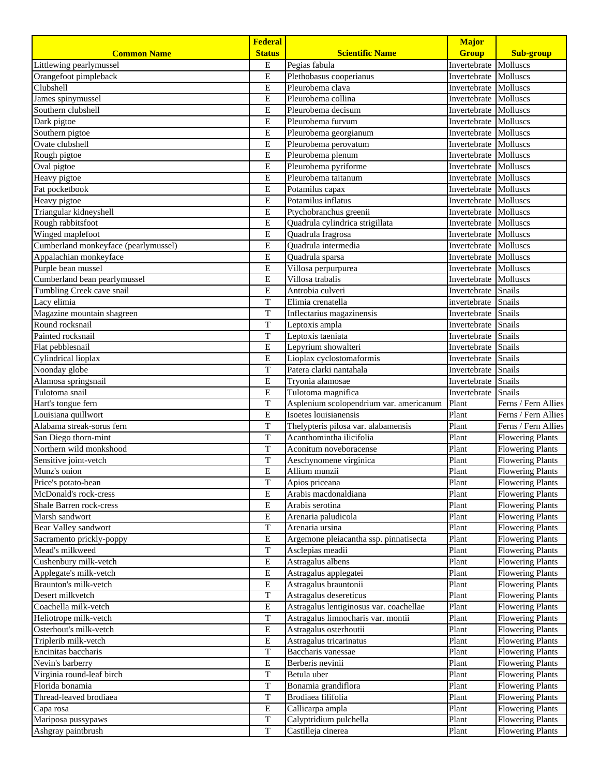|                                      | <b>Federal</b>               |                                         | <b>Major</b> |                         |
|--------------------------------------|------------------------------|-----------------------------------------|--------------|-------------------------|
| <b>Common Name</b>                   | <b>Status</b>                | <b>Scientific Name</b>                  | <b>Group</b> | <b>Sub-group</b>        |
| Littlewing pearlymussel              | E                            | Pegias fabula                           | Invertebrate | Molluscs                |
| Orangefoot pimpleback                | E                            | Plethobasus cooperianus                 | Invertebrate | Molluscs                |
| Clubshell                            | E                            | Pleurobema clava                        | Invertebrate | Molluscs                |
| James spinymussel                    | $\overline{E}$               | Pleurobema collina                      | Invertebrate | Molluscs                |
| Southern clubshell                   | E                            | Pleurobema decisum                      | Invertebrate | Molluscs                |
| Dark pigtoe                          | E                            | Pleurobema furvum                       | Invertebrate | Molluscs                |
| Southern pigtoe                      | E                            | Pleurobema georgianum                   | Invertebrate | Molluscs                |
| Ovate clubshell                      | E                            | Pleurobema perovatum                    | Invertebrate | Molluscs                |
| Rough pigtoe                         | E                            | Pleurobema plenum                       | Invertebrate | <b>Molluscs</b>         |
| Oval pigtoe                          | E                            | Pleurobema pyriforme                    | Invertebrate | Molluscs                |
| Heavy pigtoe                         | E                            | Pleurobema taitanum                     | Invertebrate | Molluscs                |
| Fat pocketbook                       | ${\bf E}$                    | Potamilus capax                         | Invertebrate | Molluscs                |
| Heavy pigtoe                         | E                            | Potamilus inflatus                      | Invertebrate | Molluscs                |
| Triangular kidneyshell               | E                            | Ptychobranchus greenii                  | Invertebrate | Molluscs                |
| Rough rabbitsfoot                    | E                            | Quadrula cylindrica strigillata         | Invertebrate | Molluscs                |
| Winged maplefoot                     | $\overline{\mathrm{E}}$      | Quadrula fragrosa                       | Invertebrate | Molluscs                |
| Cumberland monkeyface (pearlymussel) | E                            | Quadrula intermedia                     | Invertebrate | Molluscs                |
| Appalachian monkeyface               | E                            | Quadrula sparsa                         | Invertebrate | Molluscs                |
| Purple bean mussel                   | E                            | Villosa perpurpurea                     | Invertebrate | Molluscs                |
| Cumberland bean pearlymussel         | E                            | Villosa trabalis                        | Invertebrate | Molluscs                |
| Tumbling Creek cave snail            | E                            | Antrobia culveri                        | Invertebrate | Snails                  |
| Lacy elimia                          | T                            | Elimia crenatella                       | invertebrate | Snails                  |
| Magazine mountain shagreen           | T                            | Inflectarius magazinensis               | Invertebrate | Snails                  |
| Round rocksnail                      | T                            | Leptoxis ampla                          | Invertebrate | Snails                  |
| Painted rocksnail                    | $\overline{T}$               | Invertebrate<br>Leptoxis taeniata       |              | Snails                  |
| Flat pebblesnail                     | E                            | Lepyrium showalteri                     | Invertebrate | Snails                  |
| Cylindrical lioplax                  | E                            | Lioplax cyclostomaformis                | Invertebrate | Snails                  |
| Noonday globe                        | T                            | Patera clarki nantahala                 | Invertebrate | Snails                  |
| Alamosa springsnail                  | $\overline{E}$               | Tryonia alamosae<br>Invertebrate        |              | Snails                  |
| Tulotoma snail                       | E                            | Tulotoma magnifica                      | Invertebrate | Snails                  |
| Hart's tongue fern                   | T                            | Asplenium scolopendrium var. americanum | Plant        | Ferns / Fern Allies     |
| Louisiana quillwort                  | E                            | Isoetes louisianensis                   | Plant        | Ferns / Fern Allies     |
| Alabama streak-sorus fern            | T                            | Thelypteris pilosa var. alabamensis     | Plant        | Ferns / Fern Allies     |
| San Diego thorn-mint                 | T                            | Acanthomintha ilicifolia                | Plant        | <b>Flowering Plants</b> |
| Northern wild monkshood              | T                            | Aconitum noveboracense                  | Plant        | <b>Flowering Plants</b> |
| Sensitive joint-vetch                | T                            | Aeschynomene virginica                  | Plant        | <b>Flowering Plants</b> |
| Munz's onion                         | E                            | Allium munzii                           | Plant        | <b>Flowering Plants</b> |
| Price's potato-bean                  | $\mathbf T$                  | Apios priceana                          | Plant        | <b>Flowering Plants</b> |
| McDonald's rock-cress                | E                            | Arabis macdonaldiana                    | Plant        | <b>Flowering Plants</b> |
| Shale Barren rock-cress              | E                            | Arabis serotina                         | Plant        | <b>Flowering Plants</b> |
| Marsh sandwort                       | E                            | Arenaria paludicola                     | Plant        | <b>Flowering Plants</b> |
| Bear Valley sandwort                 | T                            | Arenaria ursina                         | Plant        | <b>Flowering Plants</b> |
| Sacramento prickly-poppy             | E                            | Argemone pleiacantha ssp. pinnatisecta  | Plant        | <b>Flowering Plants</b> |
| Mead's milkweed                      | T                            | Asclepias meadii                        | Plant        | <b>Flowering Plants</b> |
| Cushenbury milk-vetch                | Е                            | Astragalus albens                       | Plant        | <b>Flowering Plants</b> |
| Applegate's milk-vetch               | ${\bf E}$                    | Astragalus applegatei                   | Plant        | <b>Flowering Plants</b> |
| Braunton's milk-vetch                | E                            | Astragalus brauntonii                   | Plant        | <b>Flowering Plants</b> |
| Desert milkvetch                     | T                            | Astragalus desereticus                  | Plant        | <b>Flowering Plants</b> |
| Coachella milk-vetch                 | E                            | Astragalus lentiginosus var. coachellae | Plant        | <b>Flowering Plants</b> |
| Heliotrope milk-vetch                | $\overline{T}$               | Astragalus limnocharis var. montii      | Plant        | <b>Flowering Plants</b> |
| Osterhout's milk-vetch               | Е<br>Astragalus osterhoutii  |                                         | Plant        | <b>Flowering Plants</b> |
| Triplerib milk-vetch                 | E<br>Astragalus tricarinatus |                                         | Plant        | <b>Flowering Plants</b> |
| Encinitas baccharis                  | T<br>Baccharis vanessae      |                                         | Plant        | <b>Flowering Plants</b> |
| Nevin's barberry                     | $\overline{E}$               | Berberis nevinii                        | Plant        | <b>Flowering Plants</b> |
| Virginia round-leaf birch            | T                            | Betula uber                             | Plant        | <b>Flowering Plants</b> |
| Florida bonamia                      | $\mathbf T$                  | Bonamia grandiflora                     | Plant        | <b>Flowering Plants</b> |
| Thread-leaved brodiaea               | T                            | Brodiaea filifolia                      | Plant        | <b>Flowering Plants</b> |
| Capa rosa                            | E                            | Callicarpa ampla                        | Plant        | <b>Flowering Plants</b> |
| Mariposa pussypaws                   | T                            | Calyptridium pulchella                  | Plant        | <b>Flowering Plants</b> |
| Ashgray paintbrush                   | T                            | Castilleja cinerea                      | Plant        | <b>Flowering Plants</b> |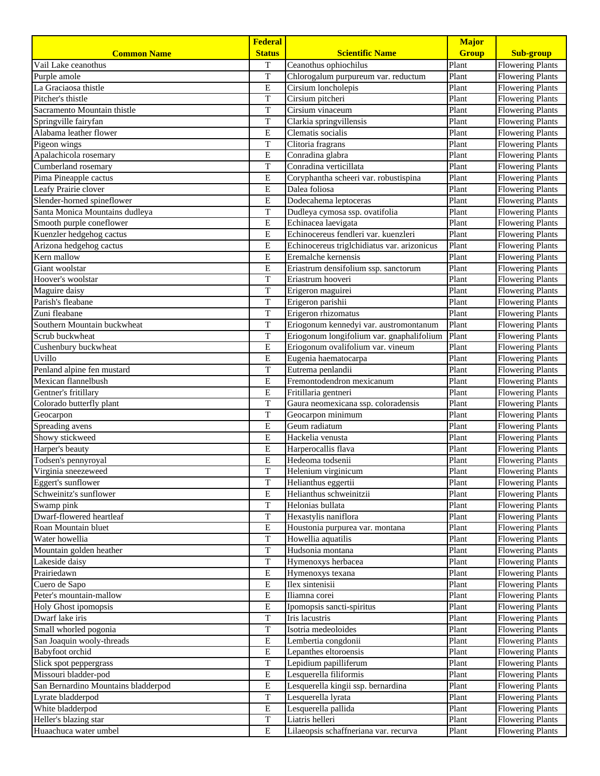|                                     | <b>Federal</b>                       |                                             | <b>Major</b> |                         |
|-------------------------------------|--------------------------------------|---------------------------------------------|--------------|-------------------------|
| <b>Common Name</b>                  | <b>Status</b>                        | <b>Scientific Name</b>                      | <b>Group</b> | <b>Sub-group</b>        |
| Vail Lake ceanothus                 | T                                    | Ceanothus ophiochilus                       | Plant        | <b>Flowering Plants</b> |
| Purple amole                        | $\mathbf T$                          | Chlorogalum purpureum var. reductum         | Plant        | <b>Flowering Plants</b> |
| La Graciaosa thistle                | E                                    | Cirsium loncholepis                         | Plant        | <b>Flowering Plants</b> |
| Pitcher's thistle                   | $\rm T$                              | Cirsium pitcheri                            | Plant        | <b>Flowering Plants</b> |
| Sacramento Mountain thistle         | $\overline{T}$                       | Cirsium vinaceum                            | Plant        | <b>Flowering Plants</b> |
| Springville fairyfan                | $\overline{T}$                       | Clarkia springvillensis                     | Plant        | <b>Flowering Plants</b> |
| Alabama leather flower              | $\overline{E}$                       | Clematis socialis                           | Plant        | <b>Flowering Plants</b> |
| Pigeon wings                        | T                                    | Clitoria fragrans                           | Plant        | <b>Flowering Plants</b> |
| Apalachicola rosemary               | Е                                    | Conradina glabra                            | Plant        | <b>Flowering Plants</b> |
| Cumberland rosemary                 | T                                    | Conradina verticillata                      | Plant        | <b>Flowering Plants</b> |
| Pima Pineapple cactus               | $\mathbf E$                          | Coryphantha scheeri var. robustispina       | Plant        | <b>Flowering Plants</b> |
| Leafy Prairie clover                | $\mathbf E$                          | Dalea foliosa                               | Plant        | <b>Flowering Plants</b> |
| Slender-horned spineflower          | E                                    | Dodecahema leptoceras                       | Plant        | <b>Flowering Plants</b> |
| Santa Monica Mountains dudleya      | T                                    | Dudleya cymosa ssp. ovatifolia              | Plant        | <b>Flowering Plants</b> |
| Smooth purple coneflower            | $\mathbf E$                          | Echinacea laevigata                         | Plant        | <b>Flowering Plants</b> |
| Kuenzler hedgehog cactus            | E                                    | Echinocereus fendleri var. kuenzleri        | Plant        | <b>Flowering Plants</b> |
| Arizona hedgehog cactus             | $\overline{E}$                       | Echinocereus triglchidiatus var. arizonicus | Plant        | <b>Flowering Plants</b> |
| Kern mallow                         | $\mathbf E$                          | Eremalche kernensis                         | Plant        | <b>Flowering Plants</b> |
| Giant woolstar                      | $\bf E$                              | Eriastrum densifolium ssp. sanctorum        | Plant        | <b>Flowering Plants</b> |
| Hoover's woolstar                   | T                                    | Eriastrum hooveri                           | Plant        | <b>Flowering Plants</b> |
| Maguire daisy                       | T                                    | Erigeron maguirei                           | Plant        | <b>Flowering Plants</b> |
| Parish's fleabane                   | T                                    | Erigeron parishii                           | Plant        | <b>Flowering Plants</b> |
| Zuni fleabane                       | T                                    | Erigeron rhizomatus                         | Plant        | <b>Flowering Plants</b> |
| Southern Mountain buckwheat         | T                                    | Eriogonum kennedyi var. austromontanum      | Plant        | <b>Flowering Plants</b> |
| Scrub buckwheat                     | $\overline{T}$                       | Eriogonum longifolium var. gnaphalifolium   | Plant        | <b>Flowering Plants</b> |
| Cushenbury buckwheat                | E                                    | Eriogonum ovalifolium var. vineum           | Plant        | <b>Flowering Plants</b> |
| Uvillo                              | $\mathbf E$                          | Eugenia haematocarpa                        | Plant        | <b>Flowering Plants</b> |
| Penland alpine fen mustard          | T                                    | Eutrema penlandii                           | Plant        | <b>Flowering Plants</b> |
| Mexican flannelbush                 | $\overline{E}$                       | Fremontodendron mexicanum                   | Plant        | <b>Flowering Plants</b> |
| Gentner's fritillary                | E                                    | Fritillaria gentneri                        | Plant        | <b>Flowering Plants</b> |
| Colorado butterfly plant            | $\overline{T}$                       | Gaura neomexicana ssp. coloradensis         | Plant        | <b>Flowering Plants</b> |
| Geocarpon                           | T                                    | Geocarpon minimum                           | Plant        | <b>Flowering Plants</b> |
| Spreading avens                     | ${\bf E}$                            | Geum radiatum                               | Plant        | <b>Flowering Plants</b> |
| Showy stickweed                     | Е                                    | Hackelia venusta                            | Plant        | <b>Flowering Plants</b> |
| Harper's beauty                     | $\overline{E}$                       | Harperocallis flava                         | Plant        | <b>Flowering Plants</b> |
| Todsen's pennyroyal                 | $\mathbf E$                          | Hedeoma todsenii                            | Plant        | <b>Flowering Plants</b> |
| Virginia sneezeweed                 | T                                    | Helenium virginicum                         | Plant        | <b>Flowering Plants</b> |
| Eggert's sunflower                  | $\overline{T}$                       | Helianthus eggertii                         | Plant        | <b>Flowering Plants</b> |
| Schweinitz's sunflower              | $\overline{E}$                       | Helianthus schweinitzii                     | Plant        | <b>Flowering Plants</b> |
| Swamp pink                          | T                                    | Helonias bullata                            | Plant        | <b>Flowering Plants</b> |
| Dwarf-flowered heartleaf            | $\rm T$                              | Hexastylis naniflora                        | Plant        | <b>Flowering Plants</b> |
| Roan Mountain bluet                 | $\overline{E}$                       | Houstonia purpurea var. montana             | Plant        | <b>Flowering Plants</b> |
| Water howellia                      | T                                    | Howellia aquatilis                          | Plant        | <b>Flowering Plants</b> |
| Mountain golden heather             | $\overline{T}$                       | Hudsonia montana                            | Plant        | <b>Flowering Plants</b> |
| Lakeside daisy                      | T                                    | Hymenoxys herbacea                          | Plant        | <b>Flowering Plants</b> |
| Prairiedawn                         | ${\bf E}$                            | Hymenoxys texana                            | Plant        | <b>Flowering Plants</b> |
| Cuero de Sapo                       | $\mathbf E$                          | Ilex sintenisii                             | Plant        | <b>Flowering Plants</b> |
| Peter's mountain-mallow             | ${\bf E}$                            | Iliamna corei                               | Plant        | <b>Flowering Plants</b> |
| Holy Ghost ipomopsis                | Ε                                    | Ipomopsis sancti-spiritus                   | Plant        | <b>Flowering Plants</b> |
| Dwarf lake iris                     | T                                    | Iris lacustris                              | Plant        | <b>Flowering Plants</b> |
| Small whorled pogonia               | T                                    | Isotria medeoloides                         | Plant        | <b>Flowering Plants</b> |
| San Joaquin wooly-threads           | ${\bf E}$<br>Lembertia congdonii     |                                             | Plant        | <b>Flowering Plants</b> |
| Babyfoot orchid                     | $\mathbf E$<br>Lepanthes eltoroensis |                                             | Plant        | <b>Flowering Plants</b> |
| Slick spot peppergrass              | T                                    | Lepidium papilliferum                       | Plant        | <b>Flowering Plants</b> |
| Missouri bladder-pod                | ${\bf E}$                            | Lesquerella filiformis                      | Plant        | <b>Flowering Plants</b> |
| San Bernardino Mountains bladderpod | ${\bf E}$                            | Lesquerella kingii ssp. bernardina          | Plant        | <b>Flowering Plants</b> |
| Lyrate bladderpod                   | $\overline{T}$                       | Lesquerella lyrata                          | Plant        | <b>Flowering Plants</b> |
| White bladderpod                    | $\mathbf E$                          | Lesquerella pallida                         | Plant        | <b>Flowering Plants</b> |
| Heller's blazing star               | T                                    | Liatris helleri                             | Plant        | <b>Flowering Plants</b> |
| Huaachuca water umbel               | $\mathbf E$                          | Lilaeopsis schaffneriana var. recurva       | Plant        | <b>Flowering Plants</b> |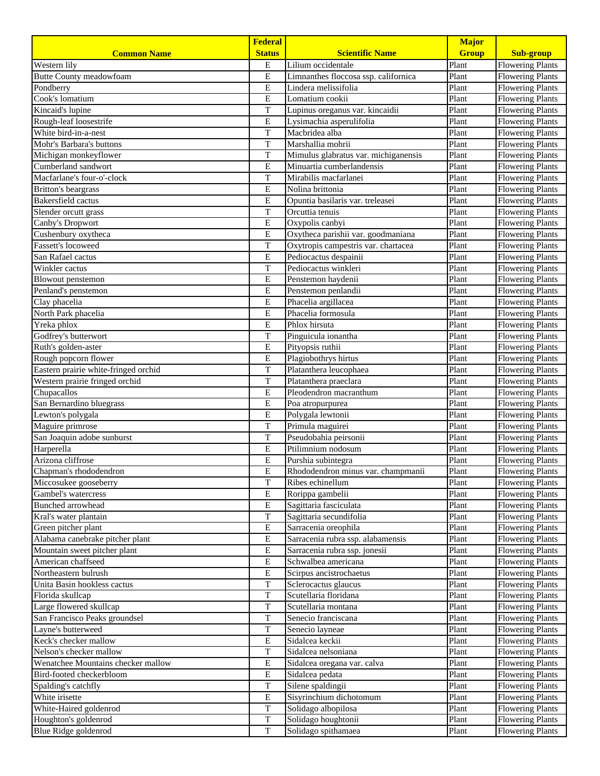| <b>Status</b><br><b>Scientific Name</b><br><b>Group</b><br><b>Sub-group</b><br><b>Common Name</b><br>Lilium occidentale<br>Western lily<br>Е<br>Plant<br><b>Flowering Plants</b><br>E<br>Plant<br><b>Flowering Plants</b><br><b>Butte County meadowfoam</b><br>Limnanthes floccosa ssp. californica<br>E<br>Lindera melissifolia<br>Plant<br>Pondberry<br><b>Flowering Plants</b><br>E<br>Cook's lomatium<br>Plant<br>Lomatium cookii<br><b>Flowering Plants</b><br>Kincaid's lupine<br>T<br>Plant<br><b>Flowering Plants</b><br>Lupinus oreganus var. kincaidii<br>E<br>Lysimachia asperulifolia<br>Plant<br><b>Flowering Plants</b><br>Rough-leaf loosestrife<br>$\mathbf T$<br>Macbridea alba<br>Plant<br>White bird-in-a-nest<br><b>Flowering Plants</b><br>T<br>Plant<br>Marshallia mohrii<br><b>Flowering Plants</b><br>Mohr's Barbara's buttons<br>T<br>Plant<br><b>Flowering Plants</b><br>Michigan monkeyflower<br>Mimulus glabratus var. michiganensis<br>Plant<br>Cumberland sandwort<br>Е<br>Minuartia cumberlandensis<br><b>Flowering Plants</b><br>Macfarlane's four-o'-clock<br>T<br>Plant<br>Mirabilis macfarlanei<br><b>Flowering Plants</b><br>E<br>Plant<br><b>Britton's beargrass</b><br>Nolina brittonia<br><b>Flowering Plants</b><br>E<br>Plant<br>Bakersfield cactus<br><b>Flowering Plants</b><br>Opuntia basilaris var. treleasei<br>T<br>Plant<br>Slender orcutt grass<br><b>Flowering Plants</b><br>Orcuttia tenuis<br>E<br>Plant<br><b>Flowering Plants</b><br>Canby's Dropwort<br>Oxypolis canbyi<br>E<br>Plant<br>Cushenbury oxytheca<br>Oxytheca parishii var. goodmaniana<br><b>Flowering Plants</b><br>T<br>Plant<br><b>Flowering Plants</b><br><b>Fassett's locoweed</b><br>Oxytropis campestris var. chartacea<br>E<br>Pediocactus despainii<br>Plant<br>San Rafael cactus<br><b>Flowering Plants</b><br>T<br>Plant<br>Winkler cactus<br>Pediocactus winkleri<br><b>Flowering Plants</b><br>E<br>Plant<br>Penstemon haydenii<br><b>Flowering Plants</b><br>Blowout penstemon<br>Plant<br>Penland's penstemon<br>E<br>Penstemon penlandii<br><b>Flowering Plants</b><br>Phacelia argillacea<br>Plant<br>Clay phacelia<br>E<br><b>Flowering Plants</b><br>E<br>Phacelia formosula<br>Plant<br>North Park phacelia<br><b>Flowering Plants</b><br>Yreka phlox<br>E<br>Plant<br>Phlox hirsuta<br><b>Flowering Plants</b><br>T<br>Plant<br>Godfrey's butterwort<br>Pinguicula ionantha<br><b>Flowering Plants</b><br>$\mathbf E$<br>Plant<br>Ruth's golden-aster<br>Pityopsis ruthii<br><b>Flowering Plants</b><br>Rough popcorn flower<br>E<br>Plant<br>Plagiobothrys hirtus<br><b>Flowering Plants</b><br>Eastern prairie white-fringed orchid<br>T<br>Plant<br>Platanthera leucophaea<br><b>Flowering Plants</b><br>T<br>Plant<br>Western prairie fringed orchid<br>Platanthera praeclara<br><b>Flowering Plants</b><br>${\bf E}$<br>Pleodendron macranthum<br>Plant<br>Chupacallos<br><b>Flowering Plants</b><br>E<br>San Bernardino bluegrass<br>Plant<br>Poa atropurpurea<br><b>Flowering Plants</b><br>E<br>Plant<br>Polygala lewtonii<br><b>Flowering Plants</b><br>Lewton's polygala<br>T<br>Primula maguirei<br>Plant<br>Maguire primrose<br><b>Flowering Plants</b><br>T<br>Pseudobahia peirsonii<br>Plant<br>San Joaquin adobe sunburst<br><b>Flowering Plants</b><br>E<br>Ptilimnium nodosum<br>Plant<br>Harperella<br><b>Flowering Plants</b><br>Arizona cliffrose<br>${\bf E}$<br>Plant<br>Purshia subintegra<br><b>Flowering Plants</b><br>E<br>Plant<br>Rhododendron minus var. champmanii<br><b>Flowering Plants</b><br>Chapman's rhododendron<br>$\overline{T}$<br>Plant<br>Miccosukee gooseberry<br>Ribes echinellum<br><b>Flowering Plants</b><br><b>Flowering Plants</b><br>Gambel's watercress<br>Е<br>Rorippa gambelii<br>Plant<br>E<br><b>Flowering Plants</b><br>Bunched arrowhead<br>Sagittaria fasciculata<br>Plant<br>T<br>Kral's water plantain<br>Sagittaria secundifolia<br>Plant<br><b>Flowering Plants</b><br>$\overline{E}$<br>Green pitcher plant<br>Sarracenia oreophila<br>Plant<br><b>Flowering Plants</b><br>$\overline{E}$<br>Alabama canebrake pitcher plant<br>Sarracenia rubra ssp. alabamensis<br>Plant<br><b>Flowering Plants</b><br>${\bf E}$<br>Sarracenia rubra ssp. jonesii<br>Plant<br>Mountain sweet pitcher plant<br><b>Flowering Plants</b><br>E<br>Plant<br>American chaffseed<br>Schwalbea americana<br><b>Flowering Plants</b><br>Е<br>Scirpus ancistrochaetus<br>Plant<br><b>Flowering Plants</b><br>Northeastern bulrush<br>Unita Basin hookless cactus<br>T<br>Sclerocactus glaucus<br>Plant<br><b>Flowering Plants</b><br>T<br>Scutellaria floridana<br>Plant<br><b>Flowering Plants</b><br>Florida skullcap<br>Plant<br>Large flowered skullcap<br>T<br>Scutellaria montana<br><b>Flowering Plants</b><br>T<br>Plant<br>San Francisco Peaks groundsel<br>Senecio franciscana<br><b>Flowering Plants</b><br>T<br>Plant<br><b>Flowering Plants</b><br>Layne's butterweed<br>Senecio layneae<br>Keck's checker mallow<br>E<br>Sidalcea keckii<br>Plant<br><b>Flowering Plants</b><br>Nelson's checker mallow<br>T<br>Sidalcea nelsoniana<br>Plant<br><b>Flowering Plants</b><br>E<br>Wenatchee Mountains checker mallow<br>Plant<br><b>Flowering Plants</b><br>Sidalcea oregana var. calva<br>E<br>Sidalcea pedata<br>Bird-footed checkerbloom<br>Plant<br><b>Flowering Plants</b><br>T<br>Silene spaldingii<br>Plant<br>Spalding's catchfly<br><b>Flowering Plants</b><br>$\overline{E}$<br>Sisyrinchium dichotomum<br>Plant<br>White irisette<br><b>Flowering Plants</b><br>White-Haired goldenrod<br>T<br>Solidago albopilosa<br>Plant<br><b>Flowering Plants</b><br>T<br>Solidago houghtonii<br>Houghton's goldenrod<br>Plant<br><b>Flowering Plants</b><br>T<br>Plant |                      | <b>Federal</b> |                     | <b>Major</b> |                         |
|---------------------------------------------------------------------------------------------------------------------------------------------------------------------------------------------------------------------------------------------------------------------------------------------------------------------------------------------------------------------------------------------------------------------------------------------------------------------------------------------------------------------------------------------------------------------------------------------------------------------------------------------------------------------------------------------------------------------------------------------------------------------------------------------------------------------------------------------------------------------------------------------------------------------------------------------------------------------------------------------------------------------------------------------------------------------------------------------------------------------------------------------------------------------------------------------------------------------------------------------------------------------------------------------------------------------------------------------------------------------------------------------------------------------------------------------------------------------------------------------------------------------------------------------------------------------------------------------------------------------------------------------------------------------------------------------------------------------------------------------------------------------------------------------------------------------------------------------------------------------------------------------------------------------------------------------------------------------------------------------------------------------------------------------------------------------------------------------------------------------------------------------------------------------------------------------------------------------------------------------------------------------------------------------------------------------------------------------------------------------------------------------------------------------------------------------------------------------------------------------------------------------------------------------------------------------------------------------------------------------------------------------------------------------------------------------------------------------------------------------------------------------------------------------------------------------------------------------------------------------------------------------------------------------------------------------------------------------------------------------------------------------------------------------------------------------------------------------------------------------------------------------------------------------------------------------------------------------------------------------------------------------------------------------------------------------------------------------------------------------------------------------------------------------------------------------------------------------------------------------------------------------------------------------------------------------------------------------------------------------------------------------------------------------------------------------------------------------------------------------------------------------------------------------------------------------------------------------------------------------------------------------------------------------------------------------------------------------------------------------------------------------------------------------------------------------------------------------------------------------------------------------------------------------------------------------------------------------------------------------------------------------------------------------------------------------------------------------------------------------------------------------------------------------------------------------------------------------------------------------------------------------------------------------------------------------------------------------------------------------------------------------------------------------------------------------------------------------------------------------------------------------------------------------------------------------------------------------------------------------------------------------------------------------------------------------------------------------------------------------------------------------------------------------------------------------------------------------------------------------------------------------------------------------------------------------------------------------------------------------------------------------------------------------------------------------------------------------------------------------------------------------------------------------------------------------------------------------------------------------------------------------------------------------------------------------------------------------------------------------------------------------------------------------------------------------------------------------------------------------------------------------|----------------------|----------------|---------------------|--------------|-------------------------|
|                                                                                                                                                                                                                                                                                                                                                                                                                                                                                                                                                                                                                                                                                                                                                                                                                                                                                                                                                                                                                                                                                                                                                                                                                                                                                                                                                                                                                                                                                                                                                                                                                                                                                                                                                                                                                                                                                                                                                                                                                                                                                                                                                                                                                                                                                                                                                                                                                                                                                                                                                                                                                                                                                                                                                                                                                                                                                                                                                                                                                                                                                                                                                                                                                                                                                                                                                                                                                                                                                                                                                                                                                                                                                                                                                                                                                                                                                                                                                                                                                                                                                                                                                                                                                                                                                                                                                                                                                                                                                                                                                                                                                                                                                                                                                                                                                                                                                                                                                                                                                                                                                                                                                                                                                                                                                                                                                                                                                                                                                                                                                                                                                                                                                                                                                                     |                      |                |                     |              |                         |
|                                                                                                                                                                                                                                                                                                                                                                                                                                                                                                                                                                                                                                                                                                                                                                                                                                                                                                                                                                                                                                                                                                                                                                                                                                                                                                                                                                                                                                                                                                                                                                                                                                                                                                                                                                                                                                                                                                                                                                                                                                                                                                                                                                                                                                                                                                                                                                                                                                                                                                                                                                                                                                                                                                                                                                                                                                                                                                                                                                                                                                                                                                                                                                                                                                                                                                                                                                                                                                                                                                                                                                                                                                                                                                                                                                                                                                                                                                                                                                                                                                                                                                                                                                                                                                                                                                                                                                                                                                                                                                                                                                                                                                                                                                                                                                                                                                                                                                                                                                                                                                                                                                                                                                                                                                                                                                                                                                                                                                                                                                                                                                                                                                                                                                                                                                     |                      |                |                     |              |                         |
|                                                                                                                                                                                                                                                                                                                                                                                                                                                                                                                                                                                                                                                                                                                                                                                                                                                                                                                                                                                                                                                                                                                                                                                                                                                                                                                                                                                                                                                                                                                                                                                                                                                                                                                                                                                                                                                                                                                                                                                                                                                                                                                                                                                                                                                                                                                                                                                                                                                                                                                                                                                                                                                                                                                                                                                                                                                                                                                                                                                                                                                                                                                                                                                                                                                                                                                                                                                                                                                                                                                                                                                                                                                                                                                                                                                                                                                                                                                                                                                                                                                                                                                                                                                                                                                                                                                                                                                                                                                                                                                                                                                                                                                                                                                                                                                                                                                                                                                                                                                                                                                                                                                                                                                                                                                                                                                                                                                                                                                                                                                                                                                                                                                                                                                                                                     |                      |                |                     |              |                         |
|                                                                                                                                                                                                                                                                                                                                                                                                                                                                                                                                                                                                                                                                                                                                                                                                                                                                                                                                                                                                                                                                                                                                                                                                                                                                                                                                                                                                                                                                                                                                                                                                                                                                                                                                                                                                                                                                                                                                                                                                                                                                                                                                                                                                                                                                                                                                                                                                                                                                                                                                                                                                                                                                                                                                                                                                                                                                                                                                                                                                                                                                                                                                                                                                                                                                                                                                                                                                                                                                                                                                                                                                                                                                                                                                                                                                                                                                                                                                                                                                                                                                                                                                                                                                                                                                                                                                                                                                                                                                                                                                                                                                                                                                                                                                                                                                                                                                                                                                                                                                                                                                                                                                                                                                                                                                                                                                                                                                                                                                                                                                                                                                                                                                                                                                                                     |                      |                |                     |              |                         |
|                                                                                                                                                                                                                                                                                                                                                                                                                                                                                                                                                                                                                                                                                                                                                                                                                                                                                                                                                                                                                                                                                                                                                                                                                                                                                                                                                                                                                                                                                                                                                                                                                                                                                                                                                                                                                                                                                                                                                                                                                                                                                                                                                                                                                                                                                                                                                                                                                                                                                                                                                                                                                                                                                                                                                                                                                                                                                                                                                                                                                                                                                                                                                                                                                                                                                                                                                                                                                                                                                                                                                                                                                                                                                                                                                                                                                                                                                                                                                                                                                                                                                                                                                                                                                                                                                                                                                                                                                                                                                                                                                                                                                                                                                                                                                                                                                                                                                                                                                                                                                                                                                                                                                                                                                                                                                                                                                                                                                                                                                                                                                                                                                                                                                                                                                                     |                      |                |                     |              |                         |
|                                                                                                                                                                                                                                                                                                                                                                                                                                                                                                                                                                                                                                                                                                                                                                                                                                                                                                                                                                                                                                                                                                                                                                                                                                                                                                                                                                                                                                                                                                                                                                                                                                                                                                                                                                                                                                                                                                                                                                                                                                                                                                                                                                                                                                                                                                                                                                                                                                                                                                                                                                                                                                                                                                                                                                                                                                                                                                                                                                                                                                                                                                                                                                                                                                                                                                                                                                                                                                                                                                                                                                                                                                                                                                                                                                                                                                                                                                                                                                                                                                                                                                                                                                                                                                                                                                                                                                                                                                                                                                                                                                                                                                                                                                                                                                                                                                                                                                                                                                                                                                                                                                                                                                                                                                                                                                                                                                                                                                                                                                                                                                                                                                                                                                                                                                     |                      |                |                     |              |                         |
|                                                                                                                                                                                                                                                                                                                                                                                                                                                                                                                                                                                                                                                                                                                                                                                                                                                                                                                                                                                                                                                                                                                                                                                                                                                                                                                                                                                                                                                                                                                                                                                                                                                                                                                                                                                                                                                                                                                                                                                                                                                                                                                                                                                                                                                                                                                                                                                                                                                                                                                                                                                                                                                                                                                                                                                                                                                                                                                                                                                                                                                                                                                                                                                                                                                                                                                                                                                                                                                                                                                                                                                                                                                                                                                                                                                                                                                                                                                                                                                                                                                                                                                                                                                                                                                                                                                                                                                                                                                                                                                                                                                                                                                                                                                                                                                                                                                                                                                                                                                                                                                                                                                                                                                                                                                                                                                                                                                                                                                                                                                                                                                                                                                                                                                                                                     |                      |                |                     |              |                         |
|                                                                                                                                                                                                                                                                                                                                                                                                                                                                                                                                                                                                                                                                                                                                                                                                                                                                                                                                                                                                                                                                                                                                                                                                                                                                                                                                                                                                                                                                                                                                                                                                                                                                                                                                                                                                                                                                                                                                                                                                                                                                                                                                                                                                                                                                                                                                                                                                                                                                                                                                                                                                                                                                                                                                                                                                                                                                                                                                                                                                                                                                                                                                                                                                                                                                                                                                                                                                                                                                                                                                                                                                                                                                                                                                                                                                                                                                                                                                                                                                                                                                                                                                                                                                                                                                                                                                                                                                                                                                                                                                                                                                                                                                                                                                                                                                                                                                                                                                                                                                                                                                                                                                                                                                                                                                                                                                                                                                                                                                                                                                                                                                                                                                                                                                                                     |                      |                |                     |              |                         |
|                                                                                                                                                                                                                                                                                                                                                                                                                                                                                                                                                                                                                                                                                                                                                                                                                                                                                                                                                                                                                                                                                                                                                                                                                                                                                                                                                                                                                                                                                                                                                                                                                                                                                                                                                                                                                                                                                                                                                                                                                                                                                                                                                                                                                                                                                                                                                                                                                                                                                                                                                                                                                                                                                                                                                                                                                                                                                                                                                                                                                                                                                                                                                                                                                                                                                                                                                                                                                                                                                                                                                                                                                                                                                                                                                                                                                                                                                                                                                                                                                                                                                                                                                                                                                                                                                                                                                                                                                                                                                                                                                                                                                                                                                                                                                                                                                                                                                                                                                                                                                                                                                                                                                                                                                                                                                                                                                                                                                                                                                                                                                                                                                                                                                                                                                                     |                      |                |                     |              |                         |
|                                                                                                                                                                                                                                                                                                                                                                                                                                                                                                                                                                                                                                                                                                                                                                                                                                                                                                                                                                                                                                                                                                                                                                                                                                                                                                                                                                                                                                                                                                                                                                                                                                                                                                                                                                                                                                                                                                                                                                                                                                                                                                                                                                                                                                                                                                                                                                                                                                                                                                                                                                                                                                                                                                                                                                                                                                                                                                                                                                                                                                                                                                                                                                                                                                                                                                                                                                                                                                                                                                                                                                                                                                                                                                                                                                                                                                                                                                                                                                                                                                                                                                                                                                                                                                                                                                                                                                                                                                                                                                                                                                                                                                                                                                                                                                                                                                                                                                                                                                                                                                                                                                                                                                                                                                                                                                                                                                                                                                                                                                                                                                                                                                                                                                                                                                     |                      |                |                     |              |                         |
|                                                                                                                                                                                                                                                                                                                                                                                                                                                                                                                                                                                                                                                                                                                                                                                                                                                                                                                                                                                                                                                                                                                                                                                                                                                                                                                                                                                                                                                                                                                                                                                                                                                                                                                                                                                                                                                                                                                                                                                                                                                                                                                                                                                                                                                                                                                                                                                                                                                                                                                                                                                                                                                                                                                                                                                                                                                                                                                                                                                                                                                                                                                                                                                                                                                                                                                                                                                                                                                                                                                                                                                                                                                                                                                                                                                                                                                                                                                                                                                                                                                                                                                                                                                                                                                                                                                                                                                                                                                                                                                                                                                                                                                                                                                                                                                                                                                                                                                                                                                                                                                                                                                                                                                                                                                                                                                                                                                                                                                                                                                                                                                                                                                                                                                                                                     |                      |                |                     |              |                         |
|                                                                                                                                                                                                                                                                                                                                                                                                                                                                                                                                                                                                                                                                                                                                                                                                                                                                                                                                                                                                                                                                                                                                                                                                                                                                                                                                                                                                                                                                                                                                                                                                                                                                                                                                                                                                                                                                                                                                                                                                                                                                                                                                                                                                                                                                                                                                                                                                                                                                                                                                                                                                                                                                                                                                                                                                                                                                                                                                                                                                                                                                                                                                                                                                                                                                                                                                                                                                                                                                                                                                                                                                                                                                                                                                                                                                                                                                                                                                                                                                                                                                                                                                                                                                                                                                                                                                                                                                                                                                                                                                                                                                                                                                                                                                                                                                                                                                                                                                                                                                                                                                                                                                                                                                                                                                                                                                                                                                                                                                                                                                                                                                                                                                                                                                                                     |                      |                |                     |              |                         |
|                                                                                                                                                                                                                                                                                                                                                                                                                                                                                                                                                                                                                                                                                                                                                                                                                                                                                                                                                                                                                                                                                                                                                                                                                                                                                                                                                                                                                                                                                                                                                                                                                                                                                                                                                                                                                                                                                                                                                                                                                                                                                                                                                                                                                                                                                                                                                                                                                                                                                                                                                                                                                                                                                                                                                                                                                                                                                                                                                                                                                                                                                                                                                                                                                                                                                                                                                                                                                                                                                                                                                                                                                                                                                                                                                                                                                                                                                                                                                                                                                                                                                                                                                                                                                                                                                                                                                                                                                                                                                                                                                                                                                                                                                                                                                                                                                                                                                                                                                                                                                                                                                                                                                                                                                                                                                                                                                                                                                                                                                                                                                                                                                                                                                                                                                                     |                      |                |                     |              |                         |
|                                                                                                                                                                                                                                                                                                                                                                                                                                                                                                                                                                                                                                                                                                                                                                                                                                                                                                                                                                                                                                                                                                                                                                                                                                                                                                                                                                                                                                                                                                                                                                                                                                                                                                                                                                                                                                                                                                                                                                                                                                                                                                                                                                                                                                                                                                                                                                                                                                                                                                                                                                                                                                                                                                                                                                                                                                                                                                                                                                                                                                                                                                                                                                                                                                                                                                                                                                                                                                                                                                                                                                                                                                                                                                                                                                                                                                                                                                                                                                                                                                                                                                                                                                                                                                                                                                                                                                                                                                                                                                                                                                                                                                                                                                                                                                                                                                                                                                                                                                                                                                                                                                                                                                                                                                                                                                                                                                                                                                                                                                                                                                                                                                                                                                                                                                     |                      |                |                     |              |                         |
|                                                                                                                                                                                                                                                                                                                                                                                                                                                                                                                                                                                                                                                                                                                                                                                                                                                                                                                                                                                                                                                                                                                                                                                                                                                                                                                                                                                                                                                                                                                                                                                                                                                                                                                                                                                                                                                                                                                                                                                                                                                                                                                                                                                                                                                                                                                                                                                                                                                                                                                                                                                                                                                                                                                                                                                                                                                                                                                                                                                                                                                                                                                                                                                                                                                                                                                                                                                                                                                                                                                                                                                                                                                                                                                                                                                                                                                                                                                                                                                                                                                                                                                                                                                                                                                                                                                                                                                                                                                                                                                                                                                                                                                                                                                                                                                                                                                                                                                                                                                                                                                                                                                                                                                                                                                                                                                                                                                                                                                                                                                                                                                                                                                                                                                                                                     |                      |                |                     |              |                         |
|                                                                                                                                                                                                                                                                                                                                                                                                                                                                                                                                                                                                                                                                                                                                                                                                                                                                                                                                                                                                                                                                                                                                                                                                                                                                                                                                                                                                                                                                                                                                                                                                                                                                                                                                                                                                                                                                                                                                                                                                                                                                                                                                                                                                                                                                                                                                                                                                                                                                                                                                                                                                                                                                                                                                                                                                                                                                                                                                                                                                                                                                                                                                                                                                                                                                                                                                                                                                                                                                                                                                                                                                                                                                                                                                                                                                                                                                                                                                                                                                                                                                                                                                                                                                                                                                                                                                                                                                                                                                                                                                                                                                                                                                                                                                                                                                                                                                                                                                                                                                                                                                                                                                                                                                                                                                                                                                                                                                                                                                                                                                                                                                                                                                                                                                                                     |                      |                |                     |              |                         |
|                                                                                                                                                                                                                                                                                                                                                                                                                                                                                                                                                                                                                                                                                                                                                                                                                                                                                                                                                                                                                                                                                                                                                                                                                                                                                                                                                                                                                                                                                                                                                                                                                                                                                                                                                                                                                                                                                                                                                                                                                                                                                                                                                                                                                                                                                                                                                                                                                                                                                                                                                                                                                                                                                                                                                                                                                                                                                                                                                                                                                                                                                                                                                                                                                                                                                                                                                                                                                                                                                                                                                                                                                                                                                                                                                                                                                                                                                                                                                                                                                                                                                                                                                                                                                                                                                                                                                                                                                                                                                                                                                                                                                                                                                                                                                                                                                                                                                                                                                                                                                                                                                                                                                                                                                                                                                                                                                                                                                                                                                                                                                                                                                                                                                                                                                                     |                      |                |                     |              |                         |
|                                                                                                                                                                                                                                                                                                                                                                                                                                                                                                                                                                                                                                                                                                                                                                                                                                                                                                                                                                                                                                                                                                                                                                                                                                                                                                                                                                                                                                                                                                                                                                                                                                                                                                                                                                                                                                                                                                                                                                                                                                                                                                                                                                                                                                                                                                                                                                                                                                                                                                                                                                                                                                                                                                                                                                                                                                                                                                                                                                                                                                                                                                                                                                                                                                                                                                                                                                                                                                                                                                                                                                                                                                                                                                                                                                                                                                                                                                                                                                                                                                                                                                                                                                                                                                                                                                                                                                                                                                                                                                                                                                                                                                                                                                                                                                                                                                                                                                                                                                                                                                                                                                                                                                                                                                                                                                                                                                                                                                                                                                                                                                                                                                                                                                                                                                     |                      |                |                     |              |                         |
|                                                                                                                                                                                                                                                                                                                                                                                                                                                                                                                                                                                                                                                                                                                                                                                                                                                                                                                                                                                                                                                                                                                                                                                                                                                                                                                                                                                                                                                                                                                                                                                                                                                                                                                                                                                                                                                                                                                                                                                                                                                                                                                                                                                                                                                                                                                                                                                                                                                                                                                                                                                                                                                                                                                                                                                                                                                                                                                                                                                                                                                                                                                                                                                                                                                                                                                                                                                                                                                                                                                                                                                                                                                                                                                                                                                                                                                                                                                                                                                                                                                                                                                                                                                                                                                                                                                                                                                                                                                                                                                                                                                                                                                                                                                                                                                                                                                                                                                                                                                                                                                                                                                                                                                                                                                                                                                                                                                                                                                                                                                                                                                                                                                                                                                                                                     |                      |                |                     |              |                         |
|                                                                                                                                                                                                                                                                                                                                                                                                                                                                                                                                                                                                                                                                                                                                                                                                                                                                                                                                                                                                                                                                                                                                                                                                                                                                                                                                                                                                                                                                                                                                                                                                                                                                                                                                                                                                                                                                                                                                                                                                                                                                                                                                                                                                                                                                                                                                                                                                                                                                                                                                                                                                                                                                                                                                                                                                                                                                                                                                                                                                                                                                                                                                                                                                                                                                                                                                                                                                                                                                                                                                                                                                                                                                                                                                                                                                                                                                                                                                                                                                                                                                                                                                                                                                                                                                                                                                                                                                                                                                                                                                                                                                                                                                                                                                                                                                                                                                                                                                                                                                                                                                                                                                                                                                                                                                                                                                                                                                                                                                                                                                                                                                                                                                                                                                                                     |                      |                |                     |              |                         |
|                                                                                                                                                                                                                                                                                                                                                                                                                                                                                                                                                                                                                                                                                                                                                                                                                                                                                                                                                                                                                                                                                                                                                                                                                                                                                                                                                                                                                                                                                                                                                                                                                                                                                                                                                                                                                                                                                                                                                                                                                                                                                                                                                                                                                                                                                                                                                                                                                                                                                                                                                                                                                                                                                                                                                                                                                                                                                                                                                                                                                                                                                                                                                                                                                                                                                                                                                                                                                                                                                                                                                                                                                                                                                                                                                                                                                                                                                                                                                                                                                                                                                                                                                                                                                                                                                                                                                                                                                                                                                                                                                                                                                                                                                                                                                                                                                                                                                                                                                                                                                                                                                                                                                                                                                                                                                                                                                                                                                                                                                                                                                                                                                                                                                                                                                                     |                      |                |                     |              |                         |
|                                                                                                                                                                                                                                                                                                                                                                                                                                                                                                                                                                                                                                                                                                                                                                                                                                                                                                                                                                                                                                                                                                                                                                                                                                                                                                                                                                                                                                                                                                                                                                                                                                                                                                                                                                                                                                                                                                                                                                                                                                                                                                                                                                                                                                                                                                                                                                                                                                                                                                                                                                                                                                                                                                                                                                                                                                                                                                                                                                                                                                                                                                                                                                                                                                                                                                                                                                                                                                                                                                                                                                                                                                                                                                                                                                                                                                                                                                                                                                                                                                                                                                                                                                                                                                                                                                                                                                                                                                                                                                                                                                                                                                                                                                                                                                                                                                                                                                                                                                                                                                                                                                                                                                                                                                                                                                                                                                                                                                                                                                                                                                                                                                                                                                                                                                     |                      |                |                     |              |                         |
|                                                                                                                                                                                                                                                                                                                                                                                                                                                                                                                                                                                                                                                                                                                                                                                                                                                                                                                                                                                                                                                                                                                                                                                                                                                                                                                                                                                                                                                                                                                                                                                                                                                                                                                                                                                                                                                                                                                                                                                                                                                                                                                                                                                                                                                                                                                                                                                                                                                                                                                                                                                                                                                                                                                                                                                                                                                                                                                                                                                                                                                                                                                                                                                                                                                                                                                                                                                                                                                                                                                                                                                                                                                                                                                                                                                                                                                                                                                                                                                                                                                                                                                                                                                                                                                                                                                                                                                                                                                                                                                                                                                                                                                                                                                                                                                                                                                                                                                                                                                                                                                                                                                                                                                                                                                                                                                                                                                                                                                                                                                                                                                                                                                                                                                                                                     |                      |                |                     |              |                         |
|                                                                                                                                                                                                                                                                                                                                                                                                                                                                                                                                                                                                                                                                                                                                                                                                                                                                                                                                                                                                                                                                                                                                                                                                                                                                                                                                                                                                                                                                                                                                                                                                                                                                                                                                                                                                                                                                                                                                                                                                                                                                                                                                                                                                                                                                                                                                                                                                                                                                                                                                                                                                                                                                                                                                                                                                                                                                                                                                                                                                                                                                                                                                                                                                                                                                                                                                                                                                                                                                                                                                                                                                                                                                                                                                                                                                                                                                                                                                                                                                                                                                                                                                                                                                                                                                                                                                                                                                                                                                                                                                                                                                                                                                                                                                                                                                                                                                                                                                                                                                                                                                                                                                                                                                                                                                                                                                                                                                                                                                                                                                                                                                                                                                                                                                                                     |                      |                |                     |              |                         |
|                                                                                                                                                                                                                                                                                                                                                                                                                                                                                                                                                                                                                                                                                                                                                                                                                                                                                                                                                                                                                                                                                                                                                                                                                                                                                                                                                                                                                                                                                                                                                                                                                                                                                                                                                                                                                                                                                                                                                                                                                                                                                                                                                                                                                                                                                                                                                                                                                                                                                                                                                                                                                                                                                                                                                                                                                                                                                                                                                                                                                                                                                                                                                                                                                                                                                                                                                                                                                                                                                                                                                                                                                                                                                                                                                                                                                                                                                                                                                                                                                                                                                                                                                                                                                                                                                                                                                                                                                                                                                                                                                                                                                                                                                                                                                                                                                                                                                                                                                                                                                                                                                                                                                                                                                                                                                                                                                                                                                                                                                                                                                                                                                                                                                                                                                                     |                      |                |                     |              |                         |
|                                                                                                                                                                                                                                                                                                                                                                                                                                                                                                                                                                                                                                                                                                                                                                                                                                                                                                                                                                                                                                                                                                                                                                                                                                                                                                                                                                                                                                                                                                                                                                                                                                                                                                                                                                                                                                                                                                                                                                                                                                                                                                                                                                                                                                                                                                                                                                                                                                                                                                                                                                                                                                                                                                                                                                                                                                                                                                                                                                                                                                                                                                                                                                                                                                                                                                                                                                                                                                                                                                                                                                                                                                                                                                                                                                                                                                                                                                                                                                                                                                                                                                                                                                                                                                                                                                                                                                                                                                                                                                                                                                                                                                                                                                                                                                                                                                                                                                                                                                                                                                                                                                                                                                                                                                                                                                                                                                                                                                                                                                                                                                                                                                                                                                                                                                     |                      |                |                     |              |                         |
|                                                                                                                                                                                                                                                                                                                                                                                                                                                                                                                                                                                                                                                                                                                                                                                                                                                                                                                                                                                                                                                                                                                                                                                                                                                                                                                                                                                                                                                                                                                                                                                                                                                                                                                                                                                                                                                                                                                                                                                                                                                                                                                                                                                                                                                                                                                                                                                                                                                                                                                                                                                                                                                                                                                                                                                                                                                                                                                                                                                                                                                                                                                                                                                                                                                                                                                                                                                                                                                                                                                                                                                                                                                                                                                                                                                                                                                                                                                                                                                                                                                                                                                                                                                                                                                                                                                                                                                                                                                                                                                                                                                                                                                                                                                                                                                                                                                                                                                                                                                                                                                                                                                                                                                                                                                                                                                                                                                                                                                                                                                                                                                                                                                                                                                                                                     |                      |                |                     |              |                         |
|                                                                                                                                                                                                                                                                                                                                                                                                                                                                                                                                                                                                                                                                                                                                                                                                                                                                                                                                                                                                                                                                                                                                                                                                                                                                                                                                                                                                                                                                                                                                                                                                                                                                                                                                                                                                                                                                                                                                                                                                                                                                                                                                                                                                                                                                                                                                                                                                                                                                                                                                                                                                                                                                                                                                                                                                                                                                                                                                                                                                                                                                                                                                                                                                                                                                                                                                                                                                                                                                                                                                                                                                                                                                                                                                                                                                                                                                                                                                                                                                                                                                                                                                                                                                                                                                                                                                                                                                                                                                                                                                                                                                                                                                                                                                                                                                                                                                                                                                                                                                                                                                                                                                                                                                                                                                                                                                                                                                                                                                                                                                                                                                                                                                                                                                                                     |                      |                |                     |              |                         |
|                                                                                                                                                                                                                                                                                                                                                                                                                                                                                                                                                                                                                                                                                                                                                                                                                                                                                                                                                                                                                                                                                                                                                                                                                                                                                                                                                                                                                                                                                                                                                                                                                                                                                                                                                                                                                                                                                                                                                                                                                                                                                                                                                                                                                                                                                                                                                                                                                                                                                                                                                                                                                                                                                                                                                                                                                                                                                                                                                                                                                                                                                                                                                                                                                                                                                                                                                                                                                                                                                                                                                                                                                                                                                                                                                                                                                                                                                                                                                                                                                                                                                                                                                                                                                                                                                                                                                                                                                                                                                                                                                                                                                                                                                                                                                                                                                                                                                                                                                                                                                                                                                                                                                                                                                                                                                                                                                                                                                                                                                                                                                                                                                                                                                                                                                                     |                      |                |                     |              |                         |
|                                                                                                                                                                                                                                                                                                                                                                                                                                                                                                                                                                                                                                                                                                                                                                                                                                                                                                                                                                                                                                                                                                                                                                                                                                                                                                                                                                                                                                                                                                                                                                                                                                                                                                                                                                                                                                                                                                                                                                                                                                                                                                                                                                                                                                                                                                                                                                                                                                                                                                                                                                                                                                                                                                                                                                                                                                                                                                                                                                                                                                                                                                                                                                                                                                                                                                                                                                                                                                                                                                                                                                                                                                                                                                                                                                                                                                                                                                                                                                                                                                                                                                                                                                                                                                                                                                                                                                                                                                                                                                                                                                                                                                                                                                                                                                                                                                                                                                                                                                                                                                                                                                                                                                                                                                                                                                                                                                                                                                                                                                                                                                                                                                                                                                                                                                     |                      |                |                     |              |                         |
|                                                                                                                                                                                                                                                                                                                                                                                                                                                                                                                                                                                                                                                                                                                                                                                                                                                                                                                                                                                                                                                                                                                                                                                                                                                                                                                                                                                                                                                                                                                                                                                                                                                                                                                                                                                                                                                                                                                                                                                                                                                                                                                                                                                                                                                                                                                                                                                                                                                                                                                                                                                                                                                                                                                                                                                                                                                                                                                                                                                                                                                                                                                                                                                                                                                                                                                                                                                                                                                                                                                                                                                                                                                                                                                                                                                                                                                                                                                                                                                                                                                                                                                                                                                                                                                                                                                                                                                                                                                                                                                                                                                                                                                                                                                                                                                                                                                                                                                                                                                                                                                                                                                                                                                                                                                                                                                                                                                                                                                                                                                                                                                                                                                                                                                                                                     |                      |                |                     |              |                         |
|                                                                                                                                                                                                                                                                                                                                                                                                                                                                                                                                                                                                                                                                                                                                                                                                                                                                                                                                                                                                                                                                                                                                                                                                                                                                                                                                                                                                                                                                                                                                                                                                                                                                                                                                                                                                                                                                                                                                                                                                                                                                                                                                                                                                                                                                                                                                                                                                                                                                                                                                                                                                                                                                                                                                                                                                                                                                                                                                                                                                                                                                                                                                                                                                                                                                                                                                                                                                                                                                                                                                                                                                                                                                                                                                                                                                                                                                                                                                                                                                                                                                                                                                                                                                                                                                                                                                                                                                                                                                                                                                                                                                                                                                                                                                                                                                                                                                                                                                                                                                                                                                                                                                                                                                                                                                                                                                                                                                                                                                                                                                                                                                                                                                                                                                                                     |                      |                |                     |              |                         |
|                                                                                                                                                                                                                                                                                                                                                                                                                                                                                                                                                                                                                                                                                                                                                                                                                                                                                                                                                                                                                                                                                                                                                                                                                                                                                                                                                                                                                                                                                                                                                                                                                                                                                                                                                                                                                                                                                                                                                                                                                                                                                                                                                                                                                                                                                                                                                                                                                                                                                                                                                                                                                                                                                                                                                                                                                                                                                                                                                                                                                                                                                                                                                                                                                                                                                                                                                                                                                                                                                                                                                                                                                                                                                                                                                                                                                                                                                                                                                                                                                                                                                                                                                                                                                                                                                                                                                                                                                                                                                                                                                                                                                                                                                                                                                                                                                                                                                                                                                                                                                                                                                                                                                                                                                                                                                                                                                                                                                                                                                                                                                                                                                                                                                                                                                                     |                      |                |                     |              |                         |
|                                                                                                                                                                                                                                                                                                                                                                                                                                                                                                                                                                                                                                                                                                                                                                                                                                                                                                                                                                                                                                                                                                                                                                                                                                                                                                                                                                                                                                                                                                                                                                                                                                                                                                                                                                                                                                                                                                                                                                                                                                                                                                                                                                                                                                                                                                                                                                                                                                                                                                                                                                                                                                                                                                                                                                                                                                                                                                                                                                                                                                                                                                                                                                                                                                                                                                                                                                                                                                                                                                                                                                                                                                                                                                                                                                                                                                                                                                                                                                                                                                                                                                                                                                                                                                                                                                                                                                                                                                                                                                                                                                                                                                                                                                                                                                                                                                                                                                                                                                                                                                                                                                                                                                                                                                                                                                                                                                                                                                                                                                                                                                                                                                                                                                                                                                     |                      |                |                     |              |                         |
|                                                                                                                                                                                                                                                                                                                                                                                                                                                                                                                                                                                                                                                                                                                                                                                                                                                                                                                                                                                                                                                                                                                                                                                                                                                                                                                                                                                                                                                                                                                                                                                                                                                                                                                                                                                                                                                                                                                                                                                                                                                                                                                                                                                                                                                                                                                                                                                                                                                                                                                                                                                                                                                                                                                                                                                                                                                                                                                                                                                                                                                                                                                                                                                                                                                                                                                                                                                                                                                                                                                                                                                                                                                                                                                                                                                                                                                                                                                                                                                                                                                                                                                                                                                                                                                                                                                                                                                                                                                                                                                                                                                                                                                                                                                                                                                                                                                                                                                                                                                                                                                                                                                                                                                                                                                                                                                                                                                                                                                                                                                                                                                                                                                                                                                                                                     |                      |                |                     |              |                         |
|                                                                                                                                                                                                                                                                                                                                                                                                                                                                                                                                                                                                                                                                                                                                                                                                                                                                                                                                                                                                                                                                                                                                                                                                                                                                                                                                                                                                                                                                                                                                                                                                                                                                                                                                                                                                                                                                                                                                                                                                                                                                                                                                                                                                                                                                                                                                                                                                                                                                                                                                                                                                                                                                                                                                                                                                                                                                                                                                                                                                                                                                                                                                                                                                                                                                                                                                                                                                                                                                                                                                                                                                                                                                                                                                                                                                                                                                                                                                                                                                                                                                                                                                                                                                                                                                                                                                                                                                                                                                                                                                                                                                                                                                                                                                                                                                                                                                                                                                                                                                                                                                                                                                                                                                                                                                                                                                                                                                                                                                                                                                                                                                                                                                                                                                                                     |                      |                |                     |              |                         |
|                                                                                                                                                                                                                                                                                                                                                                                                                                                                                                                                                                                                                                                                                                                                                                                                                                                                                                                                                                                                                                                                                                                                                                                                                                                                                                                                                                                                                                                                                                                                                                                                                                                                                                                                                                                                                                                                                                                                                                                                                                                                                                                                                                                                                                                                                                                                                                                                                                                                                                                                                                                                                                                                                                                                                                                                                                                                                                                                                                                                                                                                                                                                                                                                                                                                                                                                                                                                                                                                                                                                                                                                                                                                                                                                                                                                                                                                                                                                                                                                                                                                                                                                                                                                                                                                                                                                                                                                                                                                                                                                                                                                                                                                                                                                                                                                                                                                                                                                                                                                                                                                                                                                                                                                                                                                                                                                                                                                                                                                                                                                                                                                                                                                                                                                                                     |                      |                |                     |              |                         |
|                                                                                                                                                                                                                                                                                                                                                                                                                                                                                                                                                                                                                                                                                                                                                                                                                                                                                                                                                                                                                                                                                                                                                                                                                                                                                                                                                                                                                                                                                                                                                                                                                                                                                                                                                                                                                                                                                                                                                                                                                                                                                                                                                                                                                                                                                                                                                                                                                                                                                                                                                                                                                                                                                                                                                                                                                                                                                                                                                                                                                                                                                                                                                                                                                                                                                                                                                                                                                                                                                                                                                                                                                                                                                                                                                                                                                                                                                                                                                                                                                                                                                                                                                                                                                                                                                                                                                                                                                                                                                                                                                                                                                                                                                                                                                                                                                                                                                                                                                                                                                                                                                                                                                                                                                                                                                                                                                                                                                                                                                                                                                                                                                                                                                                                                                                     |                      |                |                     |              |                         |
|                                                                                                                                                                                                                                                                                                                                                                                                                                                                                                                                                                                                                                                                                                                                                                                                                                                                                                                                                                                                                                                                                                                                                                                                                                                                                                                                                                                                                                                                                                                                                                                                                                                                                                                                                                                                                                                                                                                                                                                                                                                                                                                                                                                                                                                                                                                                                                                                                                                                                                                                                                                                                                                                                                                                                                                                                                                                                                                                                                                                                                                                                                                                                                                                                                                                                                                                                                                                                                                                                                                                                                                                                                                                                                                                                                                                                                                                                                                                                                                                                                                                                                                                                                                                                                                                                                                                                                                                                                                                                                                                                                                                                                                                                                                                                                                                                                                                                                                                                                                                                                                                                                                                                                                                                                                                                                                                                                                                                                                                                                                                                                                                                                                                                                                                                                     |                      |                |                     |              |                         |
|                                                                                                                                                                                                                                                                                                                                                                                                                                                                                                                                                                                                                                                                                                                                                                                                                                                                                                                                                                                                                                                                                                                                                                                                                                                                                                                                                                                                                                                                                                                                                                                                                                                                                                                                                                                                                                                                                                                                                                                                                                                                                                                                                                                                                                                                                                                                                                                                                                                                                                                                                                                                                                                                                                                                                                                                                                                                                                                                                                                                                                                                                                                                                                                                                                                                                                                                                                                                                                                                                                                                                                                                                                                                                                                                                                                                                                                                                                                                                                                                                                                                                                                                                                                                                                                                                                                                                                                                                                                                                                                                                                                                                                                                                                                                                                                                                                                                                                                                                                                                                                                                                                                                                                                                                                                                                                                                                                                                                                                                                                                                                                                                                                                                                                                                                                     |                      |                |                     |              |                         |
|                                                                                                                                                                                                                                                                                                                                                                                                                                                                                                                                                                                                                                                                                                                                                                                                                                                                                                                                                                                                                                                                                                                                                                                                                                                                                                                                                                                                                                                                                                                                                                                                                                                                                                                                                                                                                                                                                                                                                                                                                                                                                                                                                                                                                                                                                                                                                                                                                                                                                                                                                                                                                                                                                                                                                                                                                                                                                                                                                                                                                                                                                                                                                                                                                                                                                                                                                                                                                                                                                                                                                                                                                                                                                                                                                                                                                                                                                                                                                                                                                                                                                                                                                                                                                                                                                                                                                                                                                                                                                                                                                                                                                                                                                                                                                                                                                                                                                                                                                                                                                                                                                                                                                                                                                                                                                                                                                                                                                                                                                                                                                                                                                                                                                                                                                                     |                      |                |                     |              |                         |
|                                                                                                                                                                                                                                                                                                                                                                                                                                                                                                                                                                                                                                                                                                                                                                                                                                                                                                                                                                                                                                                                                                                                                                                                                                                                                                                                                                                                                                                                                                                                                                                                                                                                                                                                                                                                                                                                                                                                                                                                                                                                                                                                                                                                                                                                                                                                                                                                                                                                                                                                                                                                                                                                                                                                                                                                                                                                                                                                                                                                                                                                                                                                                                                                                                                                                                                                                                                                                                                                                                                                                                                                                                                                                                                                                                                                                                                                                                                                                                                                                                                                                                                                                                                                                                                                                                                                                                                                                                                                                                                                                                                                                                                                                                                                                                                                                                                                                                                                                                                                                                                                                                                                                                                                                                                                                                                                                                                                                                                                                                                                                                                                                                                                                                                                                                     |                      |                |                     |              |                         |
|                                                                                                                                                                                                                                                                                                                                                                                                                                                                                                                                                                                                                                                                                                                                                                                                                                                                                                                                                                                                                                                                                                                                                                                                                                                                                                                                                                                                                                                                                                                                                                                                                                                                                                                                                                                                                                                                                                                                                                                                                                                                                                                                                                                                                                                                                                                                                                                                                                                                                                                                                                                                                                                                                                                                                                                                                                                                                                                                                                                                                                                                                                                                                                                                                                                                                                                                                                                                                                                                                                                                                                                                                                                                                                                                                                                                                                                                                                                                                                                                                                                                                                                                                                                                                                                                                                                                                                                                                                                                                                                                                                                                                                                                                                                                                                                                                                                                                                                                                                                                                                                                                                                                                                                                                                                                                                                                                                                                                                                                                                                                                                                                                                                                                                                                                                     |                      |                |                     |              |                         |
|                                                                                                                                                                                                                                                                                                                                                                                                                                                                                                                                                                                                                                                                                                                                                                                                                                                                                                                                                                                                                                                                                                                                                                                                                                                                                                                                                                                                                                                                                                                                                                                                                                                                                                                                                                                                                                                                                                                                                                                                                                                                                                                                                                                                                                                                                                                                                                                                                                                                                                                                                                                                                                                                                                                                                                                                                                                                                                                                                                                                                                                                                                                                                                                                                                                                                                                                                                                                                                                                                                                                                                                                                                                                                                                                                                                                                                                                                                                                                                                                                                                                                                                                                                                                                                                                                                                                                                                                                                                                                                                                                                                                                                                                                                                                                                                                                                                                                                                                                                                                                                                                                                                                                                                                                                                                                                                                                                                                                                                                                                                                                                                                                                                                                                                                                                     |                      |                |                     |              |                         |
|                                                                                                                                                                                                                                                                                                                                                                                                                                                                                                                                                                                                                                                                                                                                                                                                                                                                                                                                                                                                                                                                                                                                                                                                                                                                                                                                                                                                                                                                                                                                                                                                                                                                                                                                                                                                                                                                                                                                                                                                                                                                                                                                                                                                                                                                                                                                                                                                                                                                                                                                                                                                                                                                                                                                                                                                                                                                                                                                                                                                                                                                                                                                                                                                                                                                                                                                                                                                                                                                                                                                                                                                                                                                                                                                                                                                                                                                                                                                                                                                                                                                                                                                                                                                                                                                                                                                                                                                                                                                                                                                                                                                                                                                                                                                                                                                                                                                                                                                                                                                                                                                                                                                                                                                                                                                                                                                                                                                                                                                                                                                                                                                                                                                                                                                                                     |                      |                |                     |              |                         |
|                                                                                                                                                                                                                                                                                                                                                                                                                                                                                                                                                                                                                                                                                                                                                                                                                                                                                                                                                                                                                                                                                                                                                                                                                                                                                                                                                                                                                                                                                                                                                                                                                                                                                                                                                                                                                                                                                                                                                                                                                                                                                                                                                                                                                                                                                                                                                                                                                                                                                                                                                                                                                                                                                                                                                                                                                                                                                                                                                                                                                                                                                                                                                                                                                                                                                                                                                                                                                                                                                                                                                                                                                                                                                                                                                                                                                                                                                                                                                                                                                                                                                                                                                                                                                                                                                                                                                                                                                                                                                                                                                                                                                                                                                                                                                                                                                                                                                                                                                                                                                                                                                                                                                                                                                                                                                                                                                                                                                                                                                                                                                                                                                                                                                                                                                                     |                      |                |                     |              |                         |
|                                                                                                                                                                                                                                                                                                                                                                                                                                                                                                                                                                                                                                                                                                                                                                                                                                                                                                                                                                                                                                                                                                                                                                                                                                                                                                                                                                                                                                                                                                                                                                                                                                                                                                                                                                                                                                                                                                                                                                                                                                                                                                                                                                                                                                                                                                                                                                                                                                                                                                                                                                                                                                                                                                                                                                                                                                                                                                                                                                                                                                                                                                                                                                                                                                                                                                                                                                                                                                                                                                                                                                                                                                                                                                                                                                                                                                                                                                                                                                                                                                                                                                                                                                                                                                                                                                                                                                                                                                                                                                                                                                                                                                                                                                                                                                                                                                                                                                                                                                                                                                                                                                                                                                                                                                                                                                                                                                                                                                                                                                                                                                                                                                                                                                                                                                     |                      |                |                     |              |                         |
|                                                                                                                                                                                                                                                                                                                                                                                                                                                                                                                                                                                                                                                                                                                                                                                                                                                                                                                                                                                                                                                                                                                                                                                                                                                                                                                                                                                                                                                                                                                                                                                                                                                                                                                                                                                                                                                                                                                                                                                                                                                                                                                                                                                                                                                                                                                                                                                                                                                                                                                                                                                                                                                                                                                                                                                                                                                                                                                                                                                                                                                                                                                                                                                                                                                                                                                                                                                                                                                                                                                                                                                                                                                                                                                                                                                                                                                                                                                                                                                                                                                                                                                                                                                                                                                                                                                                                                                                                                                                                                                                                                                                                                                                                                                                                                                                                                                                                                                                                                                                                                                                                                                                                                                                                                                                                                                                                                                                                                                                                                                                                                                                                                                                                                                                                                     |                      |                |                     |              |                         |
|                                                                                                                                                                                                                                                                                                                                                                                                                                                                                                                                                                                                                                                                                                                                                                                                                                                                                                                                                                                                                                                                                                                                                                                                                                                                                                                                                                                                                                                                                                                                                                                                                                                                                                                                                                                                                                                                                                                                                                                                                                                                                                                                                                                                                                                                                                                                                                                                                                                                                                                                                                                                                                                                                                                                                                                                                                                                                                                                                                                                                                                                                                                                                                                                                                                                                                                                                                                                                                                                                                                                                                                                                                                                                                                                                                                                                                                                                                                                                                                                                                                                                                                                                                                                                                                                                                                                                                                                                                                                                                                                                                                                                                                                                                                                                                                                                                                                                                                                                                                                                                                                                                                                                                                                                                                                                                                                                                                                                                                                                                                                                                                                                                                                                                                                                                     |                      |                |                     |              |                         |
|                                                                                                                                                                                                                                                                                                                                                                                                                                                                                                                                                                                                                                                                                                                                                                                                                                                                                                                                                                                                                                                                                                                                                                                                                                                                                                                                                                                                                                                                                                                                                                                                                                                                                                                                                                                                                                                                                                                                                                                                                                                                                                                                                                                                                                                                                                                                                                                                                                                                                                                                                                                                                                                                                                                                                                                                                                                                                                                                                                                                                                                                                                                                                                                                                                                                                                                                                                                                                                                                                                                                                                                                                                                                                                                                                                                                                                                                                                                                                                                                                                                                                                                                                                                                                                                                                                                                                                                                                                                                                                                                                                                                                                                                                                                                                                                                                                                                                                                                                                                                                                                                                                                                                                                                                                                                                                                                                                                                                                                                                                                                                                                                                                                                                                                                                                     |                      |                |                     |              |                         |
|                                                                                                                                                                                                                                                                                                                                                                                                                                                                                                                                                                                                                                                                                                                                                                                                                                                                                                                                                                                                                                                                                                                                                                                                                                                                                                                                                                                                                                                                                                                                                                                                                                                                                                                                                                                                                                                                                                                                                                                                                                                                                                                                                                                                                                                                                                                                                                                                                                                                                                                                                                                                                                                                                                                                                                                                                                                                                                                                                                                                                                                                                                                                                                                                                                                                                                                                                                                                                                                                                                                                                                                                                                                                                                                                                                                                                                                                                                                                                                                                                                                                                                                                                                                                                                                                                                                                                                                                                                                                                                                                                                                                                                                                                                                                                                                                                                                                                                                                                                                                                                                                                                                                                                                                                                                                                                                                                                                                                                                                                                                                                                                                                                                                                                                                                                     |                      |                |                     |              |                         |
|                                                                                                                                                                                                                                                                                                                                                                                                                                                                                                                                                                                                                                                                                                                                                                                                                                                                                                                                                                                                                                                                                                                                                                                                                                                                                                                                                                                                                                                                                                                                                                                                                                                                                                                                                                                                                                                                                                                                                                                                                                                                                                                                                                                                                                                                                                                                                                                                                                                                                                                                                                                                                                                                                                                                                                                                                                                                                                                                                                                                                                                                                                                                                                                                                                                                                                                                                                                                                                                                                                                                                                                                                                                                                                                                                                                                                                                                                                                                                                                                                                                                                                                                                                                                                                                                                                                                                                                                                                                                                                                                                                                                                                                                                                                                                                                                                                                                                                                                                                                                                                                                                                                                                                                                                                                                                                                                                                                                                                                                                                                                                                                                                                                                                                                                                                     |                      |                |                     |              |                         |
|                                                                                                                                                                                                                                                                                                                                                                                                                                                                                                                                                                                                                                                                                                                                                                                                                                                                                                                                                                                                                                                                                                                                                                                                                                                                                                                                                                                                                                                                                                                                                                                                                                                                                                                                                                                                                                                                                                                                                                                                                                                                                                                                                                                                                                                                                                                                                                                                                                                                                                                                                                                                                                                                                                                                                                                                                                                                                                                                                                                                                                                                                                                                                                                                                                                                                                                                                                                                                                                                                                                                                                                                                                                                                                                                                                                                                                                                                                                                                                                                                                                                                                                                                                                                                                                                                                                                                                                                                                                                                                                                                                                                                                                                                                                                                                                                                                                                                                                                                                                                                                                                                                                                                                                                                                                                                                                                                                                                                                                                                                                                                                                                                                                                                                                                                                     |                      |                |                     |              |                         |
|                                                                                                                                                                                                                                                                                                                                                                                                                                                                                                                                                                                                                                                                                                                                                                                                                                                                                                                                                                                                                                                                                                                                                                                                                                                                                                                                                                                                                                                                                                                                                                                                                                                                                                                                                                                                                                                                                                                                                                                                                                                                                                                                                                                                                                                                                                                                                                                                                                                                                                                                                                                                                                                                                                                                                                                                                                                                                                                                                                                                                                                                                                                                                                                                                                                                                                                                                                                                                                                                                                                                                                                                                                                                                                                                                                                                                                                                                                                                                                                                                                                                                                                                                                                                                                                                                                                                                                                                                                                                                                                                                                                                                                                                                                                                                                                                                                                                                                                                                                                                                                                                                                                                                                                                                                                                                                                                                                                                                                                                                                                                                                                                                                                                                                                                                                     |                      |                |                     |              |                         |
|                                                                                                                                                                                                                                                                                                                                                                                                                                                                                                                                                                                                                                                                                                                                                                                                                                                                                                                                                                                                                                                                                                                                                                                                                                                                                                                                                                                                                                                                                                                                                                                                                                                                                                                                                                                                                                                                                                                                                                                                                                                                                                                                                                                                                                                                                                                                                                                                                                                                                                                                                                                                                                                                                                                                                                                                                                                                                                                                                                                                                                                                                                                                                                                                                                                                                                                                                                                                                                                                                                                                                                                                                                                                                                                                                                                                                                                                                                                                                                                                                                                                                                                                                                                                                                                                                                                                                                                                                                                                                                                                                                                                                                                                                                                                                                                                                                                                                                                                                                                                                                                                                                                                                                                                                                                                                                                                                                                                                                                                                                                                                                                                                                                                                                                                                                     |                      |                |                     |              |                         |
|                                                                                                                                                                                                                                                                                                                                                                                                                                                                                                                                                                                                                                                                                                                                                                                                                                                                                                                                                                                                                                                                                                                                                                                                                                                                                                                                                                                                                                                                                                                                                                                                                                                                                                                                                                                                                                                                                                                                                                                                                                                                                                                                                                                                                                                                                                                                                                                                                                                                                                                                                                                                                                                                                                                                                                                                                                                                                                                                                                                                                                                                                                                                                                                                                                                                                                                                                                                                                                                                                                                                                                                                                                                                                                                                                                                                                                                                                                                                                                                                                                                                                                                                                                                                                                                                                                                                                                                                                                                                                                                                                                                                                                                                                                                                                                                                                                                                                                                                                                                                                                                                                                                                                                                                                                                                                                                                                                                                                                                                                                                                                                                                                                                                                                                                                                     |                      |                |                     |              |                         |
|                                                                                                                                                                                                                                                                                                                                                                                                                                                                                                                                                                                                                                                                                                                                                                                                                                                                                                                                                                                                                                                                                                                                                                                                                                                                                                                                                                                                                                                                                                                                                                                                                                                                                                                                                                                                                                                                                                                                                                                                                                                                                                                                                                                                                                                                                                                                                                                                                                                                                                                                                                                                                                                                                                                                                                                                                                                                                                                                                                                                                                                                                                                                                                                                                                                                                                                                                                                                                                                                                                                                                                                                                                                                                                                                                                                                                                                                                                                                                                                                                                                                                                                                                                                                                                                                                                                                                                                                                                                                                                                                                                                                                                                                                                                                                                                                                                                                                                                                                                                                                                                                                                                                                                                                                                                                                                                                                                                                                                                                                                                                                                                                                                                                                                                                                                     |                      |                |                     |              |                         |
|                                                                                                                                                                                                                                                                                                                                                                                                                                                                                                                                                                                                                                                                                                                                                                                                                                                                                                                                                                                                                                                                                                                                                                                                                                                                                                                                                                                                                                                                                                                                                                                                                                                                                                                                                                                                                                                                                                                                                                                                                                                                                                                                                                                                                                                                                                                                                                                                                                                                                                                                                                                                                                                                                                                                                                                                                                                                                                                                                                                                                                                                                                                                                                                                                                                                                                                                                                                                                                                                                                                                                                                                                                                                                                                                                                                                                                                                                                                                                                                                                                                                                                                                                                                                                                                                                                                                                                                                                                                                                                                                                                                                                                                                                                                                                                                                                                                                                                                                                                                                                                                                                                                                                                                                                                                                                                                                                                                                                                                                                                                                                                                                                                                                                                                                                                     |                      |                |                     |              |                         |
|                                                                                                                                                                                                                                                                                                                                                                                                                                                                                                                                                                                                                                                                                                                                                                                                                                                                                                                                                                                                                                                                                                                                                                                                                                                                                                                                                                                                                                                                                                                                                                                                                                                                                                                                                                                                                                                                                                                                                                                                                                                                                                                                                                                                                                                                                                                                                                                                                                                                                                                                                                                                                                                                                                                                                                                                                                                                                                                                                                                                                                                                                                                                                                                                                                                                                                                                                                                                                                                                                                                                                                                                                                                                                                                                                                                                                                                                                                                                                                                                                                                                                                                                                                                                                                                                                                                                                                                                                                                                                                                                                                                                                                                                                                                                                                                                                                                                                                                                                                                                                                                                                                                                                                                                                                                                                                                                                                                                                                                                                                                                                                                                                                                                                                                                                                     |                      |                |                     |              |                         |
|                                                                                                                                                                                                                                                                                                                                                                                                                                                                                                                                                                                                                                                                                                                                                                                                                                                                                                                                                                                                                                                                                                                                                                                                                                                                                                                                                                                                                                                                                                                                                                                                                                                                                                                                                                                                                                                                                                                                                                                                                                                                                                                                                                                                                                                                                                                                                                                                                                                                                                                                                                                                                                                                                                                                                                                                                                                                                                                                                                                                                                                                                                                                                                                                                                                                                                                                                                                                                                                                                                                                                                                                                                                                                                                                                                                                                                                                                                                                                                                                                                                                                                                                                                                                                                                                                                                                                                                                                                                                                                                                                                                                                                                                                                                                                                                                                                                                                                                                                                                                                                                                                                                                                                                                                                                                                                                                                                                                                                                                                                                                                                                                                                                                                                                                                                     |                      |                |                     |              |                         |
|                                                                                                                                                                                                                                                                                                                                                                                                                                                                                                                                                                                                                                                                                                                                                                                                                                                                                                                                                                                                                                                                                                                                                                                                                                                                                                                                                                                                                                                                                                                                                                                                                                                                                                                                                                                                                                                                                                                                                                                                                                                                                                                                                                                                                                                                                                                                                                                                                                                                                                                                                                                                                                                                                                                                                                                                                                                                                                                                                                                                                                                                                                                                                                                                                                                                                                                                                                                                                                                                                                                                                                                                                                                                                                                                                                                                                                                                                                                                                                                                                                                                                                                                                                                                                                                                                                                                                                                                                                                                                                                                                                                                                                                                                                                                                                                                                                                                                                                                                                                                                                                                                                                                                                                                                                                                                                                                                                                                                                                                                                                                                                                                                                                                                                                                                                     | Blue Ridge goldenrod |                | Solidago spithamaea |              | <b>Flowering Plants</b> |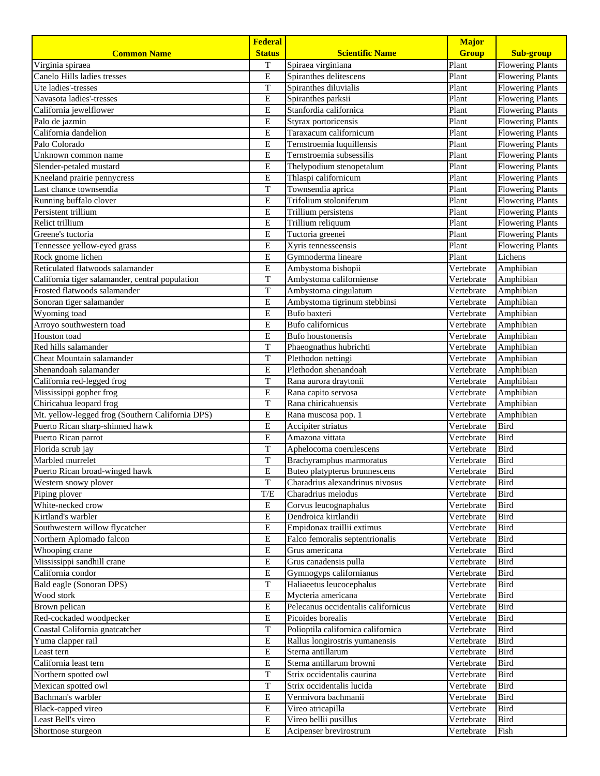|                                                  | <b>Federal</b>          |                                                    | <b>Major</b>             |                         |
|--------------------------------------------------|-------------------------|----------------------------------------------------|--------------------------|-------------------------|
| <b>Common Name</b>                               | <b>Status</b>           | <b>Scientific Name</b>                             | <b>Group</b>             | <b>Sub-group</b>        |
| Virginia spiraea                                 | T                       | Spiraea virginiana                                 | Plant                    | <b>Flowering Plants</b> |
| Canelo Hills ladies tresses                      | ${\bf E}$               | Spiranthes delitescens                             | Plant                    | <b>Flowering Plants</b> |
| Ute ladies'-tresses                              | T                       | Spiranthes diluvialis                              | Plant                    | <b>Flowering Plants</b> |
| Navasota ladies'-tresses                         | $\overline{E}$          | Spiranthes parksii                                 | Plant                    | <b>Flowering Plants</b> |
| California jewelflower                           | ${\bf E}$               | Stanfordia californica                             | Plant                    | <b>Flowering Plants</b> |
| Palo de jazmin                                   | ${\bf E}$               | Styrax portoricensis                               | Plant                    | <b>Flowering Plants</b> |
| California dandelion                             | E                       | Taraxacum californicum                             | Plant                    | <b>Flowering Plants</b> |
| Palo Colorado                                    | E                       | Ternstroemia luquillensis                          | Plant                    | <b>Flowering Plants</b> |
| Unknown common name                              | E                       | Ternstroemia subsessilis                           | Plant                    | <b>Flowering Plants</b> |
| Slender-petaled mustard                          | E                       | Thelypodium stenopetalum                           | Plant                    | <b>Flowering Plants</b> |
| Kneeland prairie pennycress                      | E                       | Thlaspi californicum                               | Plant                    | <b>Flowering Plants</b> |
| Last chance townsendia                           | $\rm T$                 | Townsendia aprica                                  | Plant                    | <b>Flowering Plants</b> |
| Running buffalo clover                           | E                       | Trifolium stoloniferum                             | Plant                    | <b>Flowering Plants</b> |
| Persistent trillium                              | E                       | Trillium persistens                                | Plant                    | <b>Flowering Plants</b> |
| Relict trillium                                  | E                       | Trillium reliquum                                  | Plant                    | <b>Flowering Plants</b> |
| Greene's tuctoria                                | E                       | Tuctoria greenei                                   | Plant                    | <b>Flowering Plants</b> |
| Tennessee yellow-eyed grass                      | E                       | Xyris tennesseensis                                | Plant                    | <b>Flowering Plants</b> |
| Rock gnome lichen                                | $\overline{E}$          | Gymnoderma lineare                                 | Plant                    | Lichens                 |
| Reticulated flatwoods salamander                 | ${\bf E}$               | Ambystoma bishopii                                 | Vertebrate               | Amphibian               |
| California tiger salamander, central population  | T                       | Ambystoma californiense                            | Vertebrate               | Amphibian               |
| Frosted flatwoods salamander                     | $\overline{T}$          | Ambystoma cingulatum                               | Vertebrate               | Amphibian               |
| Sonoran tiger salamander                         | E                       | Ambystoma tigrinum stebbinsi                       | Vertebrate               | Amphibian               |
| Wyoming toad                                     | E                       | Bufo baxteri                                       | Vertebrate               | Amphibian               |
| Arroyo southwestern toad                         | E                       | <b>Bufo</b> californicus                           | Vertebrate               | Amphibian               |
| Houston toad                                     | E                       | <b>Bufo</b> houstonensis                           | Vertebrate               | Amphibian               |
| Red hills salamander                             | T                       | Phaeognathus hubrichti                             | Vertebrate               | Amphibian               |
| Cheat Mountain salamander                        | T                       | Plethodon nettingi                                 | Vertebrate               | Amphibian               |
| Shenandoah salamander                            | E                       | Plethodon shenandoah                               | Vertebrate               | Amphibian               |
| California red-legged frog                       | T                       | Rana aurora draytonii                              | Vertebrate               | Amphibian               |
| Mississippi gopher frog                          | ${\bf E}$               | Rana capito servosa                                | Vertebrate               | Amphibian               |
| Chiricahua leopard frog                          | $\overline{\mathrm{T}}$ | Rana chiricahuensis                                | Vertebrate               | Amphibian               |
| Mt. yellow-legged frog (Southern California DPS) | E                       | Rana muscosa pop. 1                                | Vertebrate               | Amphibian               |
| Puerto Rican sharp-shinned hawk                  | E                       | Accipiter striatus                                 | Vertebrate               | Bird                    |
| Puerto Rican parrot                              | E                       | Amazona vittata                                    | Vertebrate               | <b>Bird</b>             |
| Florida scrub jay                                | T                       | Aphelocoma coerulescens                            | Vertebrate               | <b>Bird</b>             |
| Marbled murrelet                                 | $\overline{T}$          | Brachyramphus marmoratus                           | Vertebrate               | <b>Bird</b>             |
| Puerto Rican broad-winged hawk                   | E                       | Buteo platypterus brunnescens                      | Vertebrate               | <b>Bird</b>             |
| Western snowy plover                             | $\mathbf T$             | Charadrius alexandrinus nivosus                    | Vertebrate               | <b>Bird</b>             |
| Piping plover                                    | T/E                     | Charadrius melodus                                 | Vertebrate               | Bird                    |
| White-necked crow<br>Kirtland's warbler          | E                       | Corvus leucognaphalus                              | Vertebrate               | Bird<br><b>Bird</b>     |
| Southwestern willow flycatcher                   | E<br>E                  | Dendroica kirtlandii<br>Empidonax traillii extimus | Vertebrate               | Bird                    |
| Northern Aplomado falcon                         | E                       | Falco femoralis septentrionalis                    | Vertebrate               | <b>Bird</b>             |
| Whooping crane                                   | ${\bf E}$               | Grus americana                                     | Vertebrate<br>Vertebrate | <b>Bird</b>             |
| Mississippi sandhill crane                       | ${\bf E}$               | Grus canadensis pulla                              | Vertebrate               | <b>Bird</b>             |
| California condor                                | Е                       | Gymnogyps californianus                            | Vertebrate               | <b>Bird</b>             |
| Bald eagle (Sonoran DPS)                         | $\mathbf T$             | Haliaeetus leucocephalus                           | Vertebrate               | <b>Bird</b>             |
| Wood stork                                       | ${\bf E}$               | Mycteria americana                                 | Vertebrate               | <b>Bird</b>             |
| Brown pelican                                    | E                       | Pelecanus occidentalis californicus                | Vertebrate               | Bird                    |
| Red-cockaded woodpecker                          | Е                       | Picoides borealis                                  | Vertebrate               | Bird                    |
| Coastal California gnatcatcher                   | $\rm T$                 | Polioptila californica californica                 | Vertebrate               | <b>Bird</b>             |
| Yuma clapper rail                                | Е                       | Rallus longirostris yumanensis                     | Vertebrate               | Bird                    |
| Least tern                                       | Е                       | Sterna antillarum                                  | Vertebrate               | <b>Bird</b>             |
| California least tern                            | E                       | Sterna antillarum browni                           | Vertebrate               | <b>Bird</b>             |
| Northern spotted owl                             | $\mathbf T$             | Strix occidentalis caurina                         | Vertebrate               | Bird                    |
| Mexican spotted owl                              | $\mathbf T$             | Strix occidentalis lucida                          | Vertebrate               | <b>Bird</b>             |
| Bachman's warbler                                | E                       | Vermivora bachmanii                                | Vertebrate               | <b>Bird</b>             |
| Black-capped vireo                               | Е                       | Vireo atricapilla                                  | Vertebrate               | Bird                    |
| Least Bell's vireo                               | E                       | Vireo bellii pusillus                              | Vertebrate               | <b>Bird</b>             |
| Shortnose sturgeon                               | E                       | Acipenser brevirostrum                             | Vertebrate               | Fish                    |
|                                                  |                         |                                                    |                          |                         |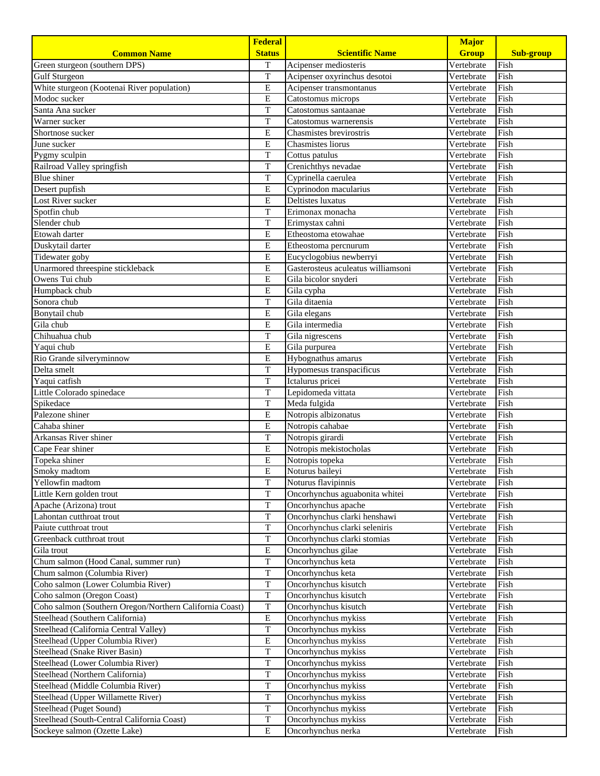|                                                         | <b>Federal</b>          |                                    | <b>Major</b> |                  |
|---------------------------------------------------------|-------------------------|------------------------------------|--------------|------------------|
| <b>Common Name</b>                                      | <b>Status</b>           | <b>Scientific Name</b>             | <b>Group</b> | <b>Sub-group</b> |
| Green sturgeon (southern DPS)                           | T                       | Acipenser mediosteris              | Vertebrate   | Fish             |
| <b>Gulf Sturgeon</b>                                    | T                       | Acipenser oxyrinchus desotoi       | Vertebrate   | Fish             |
| White sturgeon (Kootenai River population)              | E                       | Acipenser transmontanus            | Vertebrate   | Fish             |
| Modoc sucker                                            | E                       | Catostomus microps                 | Vertebrate   | Fish             |
| Santa Ana sucker                                        | $\mathbf T$             | Catostomus santaanae               | Vertebrate   | Fish             |
| Warner sucker                                           | $\overline{T}$          | Catostomus warnerensis             | Vertebrate   | Fish             |
| Shortnose sucker                                        | E                       | Chasmistes brevirostris            | Vertebrate   | Fish             |
| June sucker                                             | E                       | Chasmistes liorus                  | Vertebrate   | Fish             |
| Pygmy sculpin                                           | $\mathbf T$             | Cottus patulus                     | Vertebrate   | Fish             |
| Railroad Valley springfish                              | $\mathbf T$             | Crenichthys nevadae                | Vertebrate   | Fish             |
| <b>Blue</b> shiner                                      | $\overline{T}$          | Cyprinella caerulea                | Vertebrate   | Fish             |
| Desert pupfish                                          | ${\bf E}$               | Cyprinodon macularius              | Vertebrate   | Fish             |
| Lost River sucker                                       | E                       | Deltistes luxatus                  | Vertebrate   | Fish             |
| Spotfin chub                                            | T                       | Erimonax monacha                   | Vertebrate   | Fish             |
| Slender chub                                            | $\mathbf T$             | Erimystax cahni                    | Vertebrate   | Fish             |
| Etowah darter                                           | E                       | Etheostoma etowahae                | Vertebrate   | Fish             |
| Duskytail darter                                        | $\overline{E}$          | Etheostoma percnurum               | Vertebrate   | Fish             |
| Tidewater goby                                          | E                       | Eucyclogobius newberryi            | Vertebrate   | Fish             |
| Unarmored threespine stickleback                        | E                       | Gasterosteus aculeatus williamsoni | Vertebrate   | Fish             |
| Owens Tui chub                                          | E                       | Gila bicolor snyderi               | Vertebrate   | Fish             |
| Humpback chub                                           | E                       | Gila cypha                         | Vertebrate   | Fish             |
| Sonora chub                                             | T                       | Gila ditaenia                      | Vertebrate   | Fish             |
| Bonytail chub                                           | E                       | Gila elegans                       | Vertebrate   | Fish             |
| Gila chub                                               | E                       | Gila intermedia                    | Vertebrate   | Fish             |
| Chihuahua chub                                          | T                       | Gila nigrescens                    | Vertebrate   | Fish             |
| Yaqui chub                                              | E                       | Gila purpurea                      | Vertebrate   | Fish             |
| Rio Grande silveryminnow                                | E                       | Hybognathus amarus                 | Vertebrate   | Fish             |
| Delta smelt                                             | $\overline{T}$          | Hypomesus transpacificus           | Vertebrate   | Fish             |
| Yaqui catfish                                           | $\mathbf T$             | Ictalurus pricei                   | Vertebrate   | Fish             |
| Little Colorado spinedace                               | $\mathbf T$             | Lepidomeda vittata                 | Vertebrate   | Fish             |
| Spikedace                                               | $\overline{T}$          | Meda fulgida                       | Vertebrate   | Fish             |
| Palezone shiner                                         | E                       | Notropis albizonatus               | Vertebrate   | Fish             |
| Cahaba shiner                                           | E                       | Notropis cahabae                   | Vertebrate   | Fish             |
| Arkansas River shiner                                   | $\mathbf T$             | Notropis girardi                   | Vertebrate   | Fish             |
| Cape Fear shiner                                        | E                       | Notropis mekistocholas             | Vertebrate   | Fish             |
| Topeka shiner                                           | E                       | Notropis topeka                    | Vertebrate   | Fish             |
| Smoky madtom                                            | E                       | Noturus baileyi                    | Vertebrate   | Fish             |
| Yellowfin madtom                                        | $\overline{\mathrm{T}}$ | Noturus flavipinnis                | Vertebrate   | Fish             |
| Little Kern golden trout                                | $\overline{T}$          | Oncorhynchus aguabonita whitei     | Vertebrate   | Fish             |
| Apache (Arizona) trout                                  | $\mathbf T$             | Oncorhynchus apache                | Vertebrate   | Fish             |
| Lahontan cutthroat trout                                | $\mathbf T$             | Oncorhynchus clarki henshawi       | Vertebrate   | Fish             |
| Paiute cutthroat trout                                  | $\overline{T}$          | Oncorhynchus clarki seleniris      | Vertebrate   | Fish             |
| Greenback cutthroat trout                               | $\mathbf T$             | Oncorhynchus clarki stomias        | Vertebrate   | Fish             |
| Gila trout                                              | E                       | Oncorhynchus gilae                 | Vertebrate   | Fish             |
| Chum salmon (Hood Canal, summer run)                    | $\mathbf T$             | Oncorhynchus keta                  | Vertebrate   | Fish             |
| Chum salmon (Columbia River)                            | $\overline{T}$          | Oncorhynchus keta                  | Vertebrate   | Fish             |
| Coho salmon (Lower Columbia River)                      | T                       | Oncorhynchus kisutch               | Vertebrate   | Fish             |
| Coho salmon (Oregon Coast)                              | $\mathbf T$             | Oncorhynchus kisutch               | Vertebrate   | Fish             |
| Coho salmon (Southern Oregon/Northern California Coast) | $\mathbf T$             | Oncorhynchus kisutch               | Vertebrate   | Fish             |
| Steelhead (Southern California)                         | $\overline{E}$          | Oncorhynchus mykiss                | Vertebrate   | Fish             |
| Steelhead (California Central Valley)                   | $\mathbf T$             | Oncorhynchus mykiss                | Vertebrate   | Fish             |
| Steelhead (Upper Columbia River)                        | ${\bf E}$               | Oncorhynchus mykiss                | Vertebrate   | Fish             |
| Steelhead (Snake River Basin)                           | $\mathbf T$             | Oncorhynchus mykiss                | Vertebrate   | Fish             |
| Steelhead (Lower Columbia River)                        | $\overline{T}$          | Oncorhynchus mykiss                | Vertebrate   | Fish             |
| Steelhead (Northern California)                         | $\mathbf T$             | Oncorhynchus mykiss                | Vertebrate   | Fish             |
| Steelhead (Middle Columbia River)                       | $\overline{\mathrm{T}}$ | Oncorhynchus mykiss                | Vertebrate   | Fish             |
| Steelhead (Upper Willamette River)                      | $\overline{T}$          | Oncorhynchus mykiss                | Vertebrate   | Fish             |
| Steelhead (Puget Sound)                                 | $\mathbf T$             | Oncorhynchus mykiss                | Vertebrate   | Fish             |
| Steelhead (South-Central California Coast)              | $\mathbf T$             | Oncorhynchus mykiss                | Vertebrate   | Fish             |
| Sockeye salmon (Ozette Lake)                            | E                       | Oncorhynchus nerka                 | Vertebrate   | Fish             |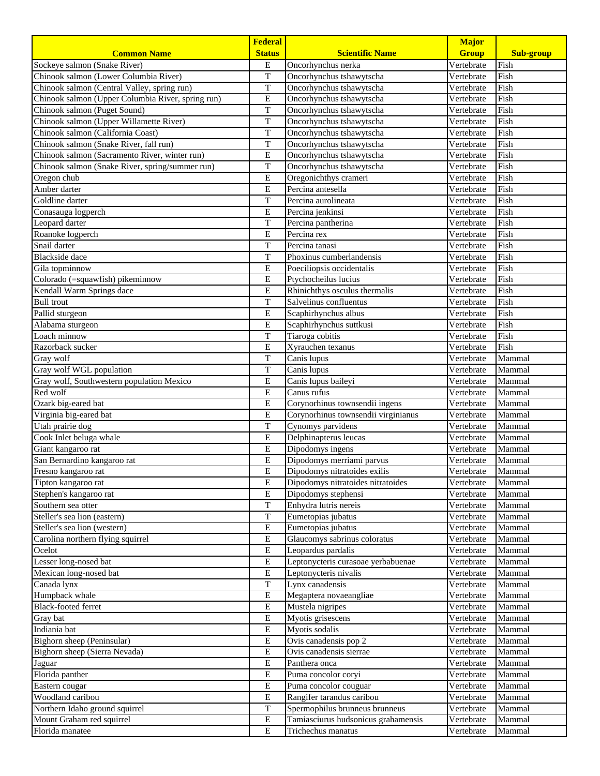|                                                   | <b>Federal</b>                       |                                                                       | <b>Major</b>             |                  |
|---------------------------------------------------|--------------------------------------|-----------------------------------------------------------------------|--------------------------|------------------|
| <b>Common Name</b>                                | <b>Status</b>                        | <b>Scientific Name</b>                                                | <b>Group</b>             | <b>Sub-group</b> |
| Sockeye salmon (Snake River)                      | E                                    | Oncorhynchus nerka                                                    | Vertebrate               | Fish             |
| Chinook salmon (Lower Columbia River)             | T                                    | Oncorhynchus tshawytscha                                              | Vertebrate               | Fish             |
| Chinook salmon (Central Valley, spring run)       | T                                    | Oncorhynchus tshawytscha                                              | Vertebrate               | Fish             |
| Chinook salmon (Upper Columbia River, spring run) | $\overline{E}$                       | Oncorhynchus tshawytscha                                              | Vertebrate               | Fish             |
| Chinook salmon (Puget Sound)                      | $\rm T$                              | Oncorhynchus tshawytscha                                              | Vertebrate               | Fish             |
| Chinook salmon (Upper Willamette River)           | $\overline{\mathrm{T}}$              | Oncorhynchus tshawytscha                                              | Vertebrate               | Fish             |
| Chinook salmon (California Coast)                 | $\overline{T}$                       | Oncorhynchus tshawytscha                                              | Vertebrate               | Fish             |
| Chinook salmon (Snake River, fall run)            | T                                    | Oncorhynchus tshawytscha                                              | Vertebrate               | Fish             |
| Chinook salmon (Sacramento River, winter run)     | E                                    | Oncorhynchus tshawytscha                                              | Vertebrate               | Fish             |
| Chinook salmon (Snake River, spring/summer run)   | T                                    | Oncorhynchus tshawytscha                                              | Vertebrate               | Fish             |
| Oregon chub                                       | E                                    | Oregonichthys crameri                                                 | Vertebrate               | Fish             |
| Amber darter                                      | E                                    | Percina antesella                                                     | Vertebrate               | Fish             |
| Goldline darter                                   | T                                    | Percina aurolineata                                                   | Vertebrate               | Fish             |
| Conasauga logperch                                | E                                    | Percina jenkinsi                                                      | Vertebrate               | Fish             |
| Leopard darter                                    | T                                    | Percina pantherina                                                    | Vertebrate               | Fish             |
| Roanoke logperch                                  | E                                    | Percina rex                                                           | Vertebrate               | Fish             |
| Snail darter                                      | $\rm T$                              | Percina tanasi                                                        | Vertebrate               | Fish             |
| <b>Blackside</b> dace                             | T                                    | Phoxinus cumberlandensis                                              | Vertebrate               | Fish             |
| Gila topminnow                                    | E                                    | Poeciliopsis occidentalis                                             | Vertebrate               | Fish             |
| Colorado (=squawfish) pikeminnow                  | E                                    | Ptychocheilus lucius                                                  | Vertebrate               | Fish             |
| Kendall Warm Springs dace                         | E                                    | Rhinichthys osculus thermalis                                         | Vertebrate               | Fish             |
| <b>Bull</b> trout                                 | T                                    | Salvelinus confluentus                                                | Vertebrate               | Fish             |
| Pallid sturgeon                                   | E                                    | Scaphirhynchus albus                                                  | Vertebrate               | Fish             |
| Alabama sturgeon                                  | E                                    | Scaphirhynchus suttkusi                                               | Vertebrate               | Fish             |
| Loach minnow                                      | T                                    | Tiaroga cobitis                                                       | Vertebrate               | Fish             |
| Razorback sucker                                  | E                                    | Xyrauchen texanus                                                     | Vertebrate               | Fish             |
| Gray wolf                                         | T                                    | Canis lupus                                                           | Vertebrate               | Mammal           |
| Gray wolf WGL population                          | T                                    | Canis lupus                                                           | Vertebrate               | Mammal           |
| Gray wolf, Southwestern population Mexico         | $\overline{E}$                       | Canis lupus baileyi                                                   | Vertebrate               | Mammal           |
| Red wolf                                          | ${\bf E}$<br>$\overline{\mathrm{E}}$ | Canus rufus                                                           | Vertebrate<br>Vertebrate | Mammal<br>Mammal |
| Ozark big-eared bat<br>Virginia big-eared bat     | E                                    | Corynorhinus townsendii ingens<br>Corynorhinus townsendii virginianus | Vertebrate               | Mammal           |
| Utah prairie dog                                  | T                                    | Cynomys parvidens                                                     | Vertebrate               | Mammal           |
| Cook Inlet beluga whale                           | E                                    | Delphinapterus leucas                                                 | Vertebrate               | Mammal           |
| Giant kangaroo rat                                | E                                    | Dipodomys ingens                                                      | Vertebrate               | Mammal           |
| San Bernardino kangaroo rat                       | E                                    | Dipodomys merriami parvus                                             | Vertebrate               | Mammal           |
| Fresno kangaroo rat                               | E                                    | Dipodomys nitratoides exilis                                          | Vertebrate               | Mammal           |
| Tipton kangaroo rat                               | ${\bf E}$                            | Dipodomys nitratoides nitratoides                                     | Vertebrate               | Mammal           |
| Stephen's kangaroo rat                            | E                                    | Dipodomys stephensi                                                   | Vertebrate               | Mammal           |
| Southern sea otter                                | T                                    | Enhydra lutris nereis                                                 | Vertebrate               | Mammal           |
| Steller's sea lion (eastern)                      | T                                    | Eumetopias jubatus                                                    | Vertebrate               | Mammal           |
| Steller's sea lion (western)                      | $\overline{E}$                       | Eumetopias jubatus                                                    | Vertebrate               | Mammal           |
| Carolina northern flying squirrel                 | E                                    | Glaucomys sabrinus coloratus                                          | Vertebrate               | Mammal           |
| Ocelot                                            | ${\bf E}$                            | Leopardus pardalis                                                    | Vertebrate               | Mammal           |
| Lesser long-nosed bat                             | ${\bf E}$                            | Leptonycteris curasoae yerbabuenae                                    | Vertebrate               | Mammal           |
| Mexican long-nosed bat                            | E                                    | Leptonycteris nivalis                                                 | Vertebrate               | Mammal           |
| Canada lynx                                       | T                                    | Lynx canadensis                                                       | Vertebrate               | Mammal           |
| Humpback whale                                    | ${\bf E}$                            | Megaptera novaeangliae                                                | Vertebrate               | Mammal           |
| Black-footed ferret                               | E                                    | Mustela nigripes                                                      | Vertebrate               | Mammal           |
| Gray bat                                          | E                                    | Myotis grisescens                                                     | Vertebrate               | Mammal           |
| Indiania bat                                      | ${\bf E}$                            | Myotis sodalis                                                        | Vertebrate               | Mammal           |
| Bighorn sheep (Peninsular)                        | E                                    | $\overline{\mathrm{O}}$ vis canadensis pop 2                          | Vertebrate               | Mammal           |
| Bighorn sheep (Sierra Nevada)                     | E                                    | Ovis canadensis sierrae                                               | Vertebrate               | Mammal           |
| Jaguar                                            | E                                    | Panthera onca                                                         | Vertebrate               | Mammal           |
| Florida panther                                   | E                                    | Puma concolor coryi                                                   | Vertebrate               | Mammal           |
| Eastern cougar                                    | ${\bf E}$                            | Puma concolor couguar                                                 | Vertebrate               | Mammal           |
| Woodland caribou                                  | E                                    | Rangifer tarandus caribou                                             | Vertebrate               | Mammal           |
| Northern Idaho ground squirrel                    | T                                    | Spermophilus brunneus brunneus                                        | Vertebrate               | Mammal           |
| Mount Graham red squirrel                         | Е                                    | Tamiasciurus hudsonicus grahamensis                                   | Vertebrate               | Mammal           |
| Florida manatee                                   | E                                    | Trichechus manatus                                                    | Vertebrate               | Mammal           |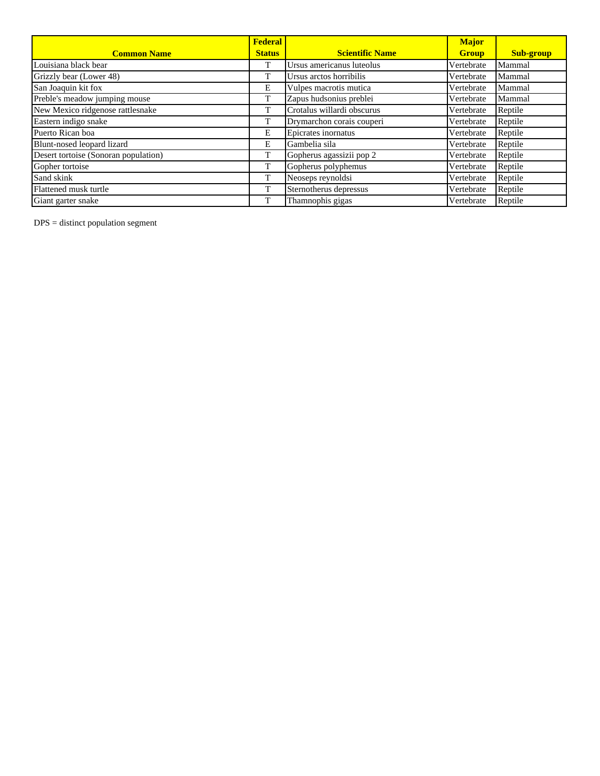|                                      | <b>Federal</b> |                            | <b>Major</b> |                  |
|--------------------------------------|----------------|----------------------------|--------------|------------------|
| <b>Common Name</b>                   | <b>Status</b>  | <b>Scientific Name</b>     | <b>Group</b> | <b>Sub-group</b> |
| Louisiana black bear                 |                | Ursus americanus luteolus  | Vertebrate   | Mammal           |
| Grizzly bear (Lower 48)              |                | Ursus arctos horribilis    | Vertebrate   | Mammal           |
| San Joaquin kit fox                  | Е              | Vulpes macrotis mutica     | Vertebrate   | Mammal           |
| Preble's meadow jumping mouse        |                | Zapus hudsonius preblei    | Vertebrate   | Mammal           |
| New Mexico ridgenose rattlesnake     | T              | Crotalus willardi obscurus | Vertebrate   | Reptile          |
| Eastern indigo snake                 | л.             | Drymarchon corais couperi  | Vertebrate   | Reptile          |
| Puerto Rican boa                     | E              | Epicrates inornatus        | Vertebrate   | Reptile          |
| Blunt-nosed leopard lizard           | E              | Gambelia sila              | Vertebrate   | Reptile          |
| Desert tortoise (Sonoran population) | T              | Gopherus agassizii pop 2   | Vertebrate   | Reptile          |
| Gopher tortoise                      | T              | Gopherus polyphemus        | Vertebrate   | Reptile          |
| Sand skink                           |                | Neoseps reynoldsi          | Vertebrate   | Reptile          |
| Flattened musk turtle                | m              | Sternotherus depressus     | Vertebrate   | Reptile          |
| Giant garter snake                   |                | Thamnophis gigas           | Vertebrate   | Reptile          |

DPS = distinct population segment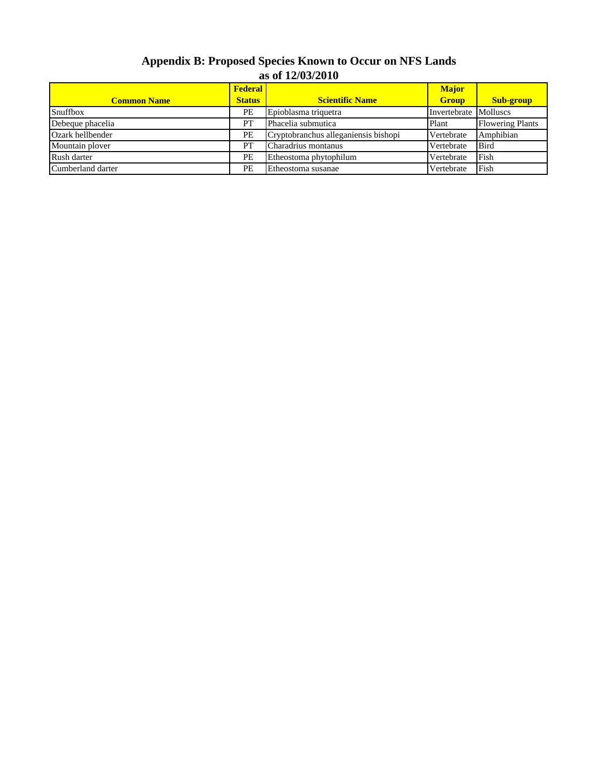## **Appendix B: Proposed Species Known to Occur on NFS Lands as of 12/03/2010**

| <b>Common Name</b> | <b>Federal</b><br><b>Scientific Name</b><br><b>Status</b> |                                      | <b>Major</b><br><b>Group</b> | Sub-group               |
|--------------------|-----------------------------------------------------------|--------------------------------------|------------------------------|-------------------------|
| Snuffbox           | PE                                                        | Epioblasma triquetra                 | Invertebrate Molluscs        |                         |
| Debeque phacelia   | PT                                                        | Phacelia submutica                   | Plant                        | <b>Flowering Plants</b> |
| Ozark hellbender   | PE                                                        | Cryptobranchus alleganiensis bishopi | Vertebrate                   | Amphibian               |
| Mountain plover    | <b>PT</b>                                                 | Charadrius montanus                  | Vertebrate                   | <b>Bird</b>             |
| Rush darter        | PE                                                        | Etheostoma phytophilum               | Vertebrate                   | Fish                    |
| Cumberland darter  | PE                                                        | Etheostoma susanae                   | Vertebrate                   | Fish                    |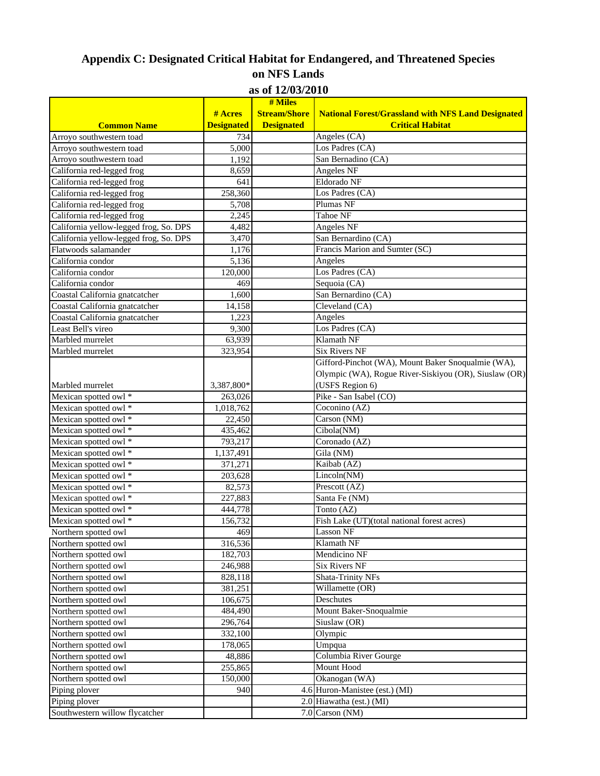## **Appendix C: Designated Critical Habitat for Endangered, and Threatened Species on NFS Lands as of 12/03/2010**

|                                        |                   | AS VI <i>14</i> / <i>VJ</i> /4VIV<br># Miles |                                                                                      |
|----------------------------------------|-------------------|----------------------------------------------|--------------------------------------------------------------------------------------|
|                                        | # Acres           | <b>Stream/Shore</b>                          |                                                                                      |
|                                        |                   |                                              | <b>National Forest/Grassland with NFS Land Designated</b><br><b>Critical Habitat</b> |
| <b>Common Name</b>                     | <b>Designated</b> | <b>Designated</b>                            |                                                                                      |
| Arroyo southwestern toad               | 734               |                                              | Angeles (CA)                                                                         |
| Arroyo southwestern toad               | 5,000             |                                              | Los Padres (CA)                                                                      |
| Arroyo southwestern toad               | 1,192             |                                              | San Bernadino (CA)                                                                   |
| California red-legged frog             | 8,659             |                                              | <b>Angeles NF</b>                                                                    |
| California red-legged frog             | 641               |                                              | Eldorado NF                                                                          |
| California red-legged frog             | 258,360           |                                              | Los Padres (CA)                                                                      |
| California red-legged frog             | 5,708             |                                              | Plumas NF                                                                            |
| California red-legged frog             | 2,245             |                                              | Tahoe NF                                                                             |
| California yellow-legged frog, So. DPS | 4,482             |                                              | Angeles NF                                                                           |
| California yellow-legged frog, So. DPS | 3,470             |                                              | San Bernardino (CA)                                                                  |
| Flatwoods salamander                   | 1,176             |                                              | Francis Marion and Sumter (SC)                                                       |
| California condor                      | 5,136             |                                              | Angeles                                                                              |
| California condor                      | 120,000           |                                              | Los Padres (CA)                                                                      |
| California condor                      | 469               |                                              | Sequoia (CA)                                                                         |
| Coastal California gnatcatcher         | 1,600             |                                              | San Bernardino (CA)                                                                  |
| Coastal California gnatcatcher         | 14,158            |                                              | Cleveland (CA)                                                                       |
| Coastal California gnatcatcher         | 1,223             |                                              | Angeles                                                                              |
| Least Bell's vireo                     | 9,300             |                                              | Los Padres (CA)                                                                      |
| Marbled murrelet                       | 63,939            |                                              | Klamath NF                                                                           |
| Marbled murrelet                       | 323,954           |                                              | <b>Six Rivers NF</b>                                                                 |
|                                        |                   |                                              | Gifford-Pinchot (WA), Mount Baker Snoqualmie (WA),                                   |
|                                        |                   |                                              | Olympic (WA), Rogue River-Siskiyou (OR), Siuslaw (OR)                                |
| Marbled murrelet                       | 3,387,800*        |                                              | (USFS Region 6)                                                                      |
| Mexican spotted owl *                  | 263,026           |                                              | Pike - San Isabel (CO)                                                               |
| Mexican spotted owl *                  | 1,018,762         |                                              | Coconino (AZ)                                                                        |
| Mexican spotted owl *                  | 22,450            |                                              | Carson (NM)                                                                          |
| Mexican spotted owl *                  | 435,462           |                                              | Cibola(NM)                                                                           |
| Mexican spotted owl *                  | 793,217           |                                              | Coronado (AZ)                                                                        |
| Mexican spotted owl *                  | 1,137,491         |                                              | Gila (NM)                                                                            |
| Mexican spotted owl *                  | 371,271           |                                              | Kaibab (AZ)                                                                          |
| Mexican spotted owl *                  | 203,628           |                                              | $\overline{\text{Lincoh}}(NM)$                                                       |
| Mexican spotted owl *                  | 82,573            |                                              | Prescott (AZ)                                                                        |
| Mexican spotted owl *                  | 227,883           |                                              | Santa Fe (NM)                                                                        |
| Mexican spotted owl *                  | 444,778           |                                              | Tonto (AZ)                                                                           |
| Mexican spotted owl *                  | 156,732           |                                              | Fish Lake (UT)(total national forest acres)                                          |
| Northern spotted owl                   | 469               |                                              | Lasson NF                                                                            |
| Northern spotted owl                   | 316,536           |                                              | Klamath NF                                                                           |
| Northern spotted owl                   | 182,703           |                                              | Mendicino NF                                                                         |
| Northern spotted owl                   | 246,988           |                                              | <b>Six Rivers NF</b>                                                                 |
| Northern spotted owl                   | 828,118           |                                              | <b>Shata-Trinity NFs</b>                                                             |
| Northern spotted owl                   | 381,251           |                                              | Willamette (OR)                                                                      |
| Northern spotted owl                   | 106,675           |                                              | Deschutes                                                                            |
| Northern spotted owl                   | 484,490           |                                              | Mount Baker-Snoqualmie                                                               |
| Northern spotted owl                   | 296,764           |                                              | Siuslaw (OR)                                                                         |
| Northern spotted owl                   | 332,100           |                                              | Olympic                                                                              |
|                                        |                   |                                              | Umpqua                                                                               |
| Northern spotted owl                   | 178,065           |                                              |                                                                                      |
| Northern spotted owl                   | 48,886            |                                              | Columbia River Gourge<br>Mount Hood                                                  |
| Northern spotted owl                   | 255,865           |                                              |                                                                                      |
| Northern spotted owl                   | 150,000           |                                              | Okanogan (WA)                                                                        |
| Piping plover                          | 940               |                                              | 4.6 Huron-Manistee (est.) (MI)                                                       |
| Piping plover                          |                   |                                              | 2.0 Hiawatha (est.) (MI)                                                             |
| Southwestern willow flycatcher         |                   |                                              | 7.0 Carson (NM)                                                                      |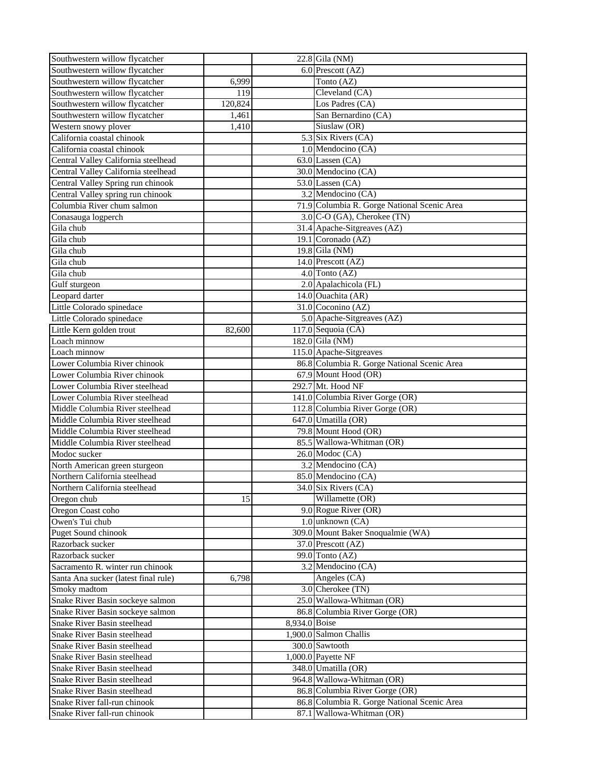| Southwestern willow flycatcher                                    |         |               | 22.8 Gila (NM)                              |
|-------------------------------------------------------------------|---------|---------------|---------------------------------------------|
| Southwestern willow flycatcher                                    |         |               | 6.0 Prescott (AZ)                           |
| Southwestern willow flycatcher                                    | 6,999   |               | Tonto (AZ)                                  |
| Southwestern willow flycatcher                                    | 119     |               | Cleveland (CA)                              |
| Southwestern willow flycatcher                                    | 120,824 |               | Los Padres (CA)                             |
| Southwestern willow flycatcher                                    | 1,461   |               | San Bernardino (CA)                         |
| Western snowy plover                                              | 1,410   |               | Siuslaw (OR)                                |
| California coastal chinook                                        |         |               | 5.3 Six Rivers (CA)                         |
| California coastal chinook                                        |         |               | 1.0 Mendocino (CA)                          |
| Central Valley California steelhead                               |         |               | $63.0$ Lassen (CA)                          |
| Central Valley California steelhead                               |         |               | 30.0 Mendocino (CA)                         |
| Central Valley Spring run chinook                                 |         |               | $53.0$ Lassen (CA)                          |
| Central Valley spring run chinook                                 |         |               | 3.2 Mendocino (CA)                          |
| Columbia River chum salmon                                        |         |               | 71.9 Columbia R. Gorge National Scenic Area |
| Conasauga logperch                                                |         |               | 3.0 C-O (GA), Cherokee (TN)                 |
| Gila chub                                                         |         |               | 31.4 Apache-Sitgreaves (AZ)                 |
| Gila chub                                                         |         |               | 19.1 Coronado (AZ)                          |
| Gila chub                                                         |         |               | 19.8 Gila (NM)                              |
| Gila chub                                                         |         |               | 14.0 Prescott (AZ)                          |
| Gila chub                                                         |         |               | 4.0 Tonto (AZ)                              |
| Gulf sturgeon                                                     |         |               | 2.0 Apalachicola (FL)                       |
| Leopard darter                                                    |         |               | 14.0 Ouachita (AR)                          |
| Little Colorado spinedace                                         |         |               | 31.0 Coconino (AZ)                          |
|                                                                   |         |               | 5.0 Apache-Sitgreaves (AZ)                  |
| Little Colorado spinedace                                         |         |               |                                             |
| Little Kern golden trout<br>Loach minnow                          | 82,600  |               | 117.0 Sequoia (CA)<br>182.0 Gila (NM)       |
|                                                                   |         |               |                                             |
| Loach minnow                                                      |         |               | 115.0 Apache-Sitgreaves                     |
| Lower Columbia River chinook<br>Lower Columbia River chinook      |         |               | 86.8 Columbia R. Gorge National Scenic Area |
| Lower Columbia River steelhead                                    |         |               | 67.9 Mount Hood (OR)<br>292.7 Mt. Hood NF   |
|                                                                   |         |               | 141.0 Columbia River Gorge (OR)             |
| Lower Columbia River steelhead<br>Middle Columbia River steelhead |         |               | 112.8 Columbia River Gorge (OR)             |
| Middle Columbia River steelhead                                   |         |               | 647.0 Umatilla (OR)                         |
| Middle Columbia River steelhead                                   |         |               | 79.8 Mount Hood (OR)                        |
| Middle Columbia River steelhead                                   |         |               | 85.5 Wallowa-Whitman (OR)                   |
| Modoc sucker                                                      |         |               | $26.0$ Modoc (CA)                           |
|                                                                   |         |               | 3.2 Mendocino (CA)                          |
| North American green sturgeon<br>Northern California steelhead    |         |               | 85.0 Mendocino (CA)                         |
|                                                                   |         |               | 34.0 Six Rivers (CA)                        |
| Northern California steelhead<br>Oregon chub                      | 15      |               | Willamette (OR)                             |
|                                                                   |         |               | 9.0 Rogue River (OR)                        |
| Oregon Coast coho<br>Owen's Tui chub                              |         |               | 1.0 unknown (CA)                            |
|                                                                   |         |               | 309.0 Mount Baker Snoqualmie (WA)           |
| Puget Sound chinook                                               |         |               |                                             |
| Razorback sucker                                                  |         |               | 37.0 Prescott (AZ)<br>99.0 Tonto (AZ)       |
| Razorback sucker<br>Sacramento R. winter run chinook              |         |               | 3.2 Mendocino (CA)                          |
| Santa Ana sucker (latest final rule)                              |         |               |                                             |
| Smoky madtom                                                      | 6,798   |               | Angeles (CA)<br>3.0 Cherokee (TN)           |
|                                                                   |         |               | 25.0 Wallowa-Whitman (OR)                   |
| Snake River Basin sockeye salmon                                  |         |               | 86.8 Columbia River Gorge (OR)              |
| Snake River Basin sockeye salmon                                  |         |               |                                             |
| Snake River Basin steelhead                                       |         | 8,934.0 Boise | 1,900.0 Salmon Challis                      |
| Snake River Basin steelhead                                       |         |               |                                             |
| Snake River Basin steelhead                                       |         |               | 300.0 Sawtooth<br>1,000.0 Payette NF        |
| Snake River Basin steelhead                                       |         |               |                                             |
| Snake River Basin steelhead                                       |         |               | 348.0 Umatilla (OR)                         |
| Snake River Basin steelhead                                       |         |               | 964.8 Wallowa-Whitman (OR)                  |
| Snake River Basin steelhead                                       |         |               | 86.8 Columbia River Gorge (OR)              |
| Snake River fall-run chinook                                      |         |               | 86.8 Columbia R. Gorge National Scenic Area |
| Snake River fall-run chinook                                      |         |               | 87.1 Wallowa-Whitman (OR)                   |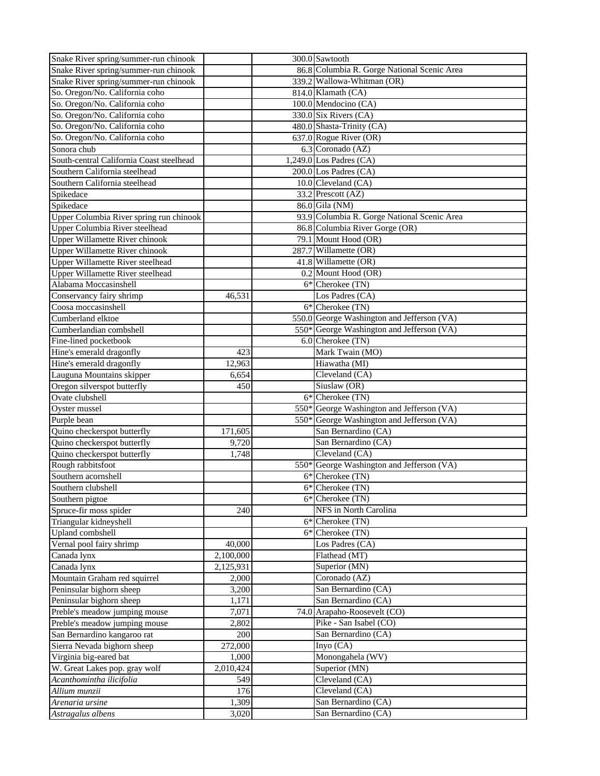| Snake River spring/summer-run chinook    |           | 300.0 Sawtooth                              |
|------------------------------------------|-----------|---------------------------------------------|
| Snake River spring/summer-run chinook    |           | 86.8 Columbia R. Gorge National Scenic Area |
| Snake River spring/summer-run chinook    |           | 339.2 Wallowa-Whitman (OR)                  |
| So. Oregon/No. California coho           |           | 814.0 Klamath (CA)                          |
| So. Oregon/No. California coho           |           | 100.0 Mendocino (CA)                        |
| So. Oregon/No. California coho           |           | 330.0 Six Rivers (CA)                       |
| So. Oregon/No. California coho           |           | 480.0 Shasta-Trinity (CA)                   |
| So. Oregon/No. California coho           |           | 637.0 Rogue River (OR)                      |
| Sonora chub                              |           | 6.3 Coronado (AZ)                           |
| South-central California Coast steelhead |           | 1,249.0 Los Padres $(CA)$                   |
| Southern California steelhead            |           | 200.0 Los Padres (CA)                       |
| Southern California steelhead            |           |                                             |
|                                          |           | 10.0 Cleveland (CA)                         |
| Spikedace                                |           | 33.2 Prescott (AZ)                          |
| Spikedace                                |           | 86.0 Gila (NM)                              |
| Upper Columbia River spring run chinook  |           | 93.9 Columbia R. Gorge National Scenic Area |
| Upper Columbia River steelhead           |           | 86.8 Columbia River Gorge (OR)              |
| Upper Willamette River chinook           |           | 79.1 Mount Hood (OR)                        |
| <b>Upper Willamette River chinook</b>    |           | 287.7 Willamette (OR)                       |
| <b>Upper Willamette River steelhead</b>  |           | 41.8 Willamette (OR)                        |
| Upper Willamette River steelhead         |           | 0.2 Mount Hood (OR)                         |
| Alabama Moccasinshell                    |           | $6*$ Cherokee $(TN)$                        |
| Conservancy fairy shrimp                 | 46,531    | Los Padres (CA)                             |
| Coosa moccasinshell                      |           | 6* Cherokee (TN)                            |
| Cumberland elktoe                        |           | 550.0 George Washington and Jefferson (VA)  |
| Cumberlandian combshell                  |           | 550* George Washington and Jefferson (VA)   |
| Fine-lined pocketbook                    |           | 6.0 Cherokee (TN)                           |
| Hine's emerald dragonfly                 | 423       | Mark Twain (MO)                             |
| Hine's emerald dragonfly                 | 12,963    | Hiawatha (MI)                               |
| Lauguna Mountains skipper                | 6,654     | Cleveland (CA)                              |
| Oregon silverspot butterfly              | 450       | Siuslaw (OR)                                |
| Ovate clubshell                          |           | 6* Cherokee (TN)                            |
| Oyster mussel                            |           | 550* George Washington and Jefferson (VA)   |
| Purple bean                              |           | 550* George Washington and Jefferson (VA)   |
| Quino checkerspot butterfly              | 171,605   | San Bernardino (CA)                         |
| Quino checkerspot butterfly              | 9,720     | San Bernardino (CA)                         |
| Quino checkerspot butterfly              | 1,748     | Cleveland (CA)                              |
| Rough rabbitsfoot                        |           | 550* George Washington and Jefferson (VA)   |
| Southern acornshell                      |           | 6* Cherokee (TN)                            |
| Southern clubshell                       |           | 6* Cherokee (TN)                            |
| Southern pigtoe                          |           | 6* Cherokee (TN)                            |
| Spruce-fir moss spider                   | 240       | NFS in North Carolina                       |
|                                          |           | 6* Cherokee (TN)                            |
| Triangular kidneyshell                   |           |                                             |
| Upland combshell                         |           | $6*$ Cherokee $(TN)$                        |
| Vernal pool fairy shrimp                 | 40,000    | Los Padres (CA)                             |
| Canada lynx                              | 2,100,000 | Flathead (MT)                               |
| Canada lynx                              | 2,125,931 | Superior (MN)                               |
| Mountain Graham red squirrel             | 2,000     | Coronado (AZ)                               |
| Peninsular bighorn sheep                 | 3,200     | San Bernardino (CA)                         |
| Peninsular bighorn sheep                 | 1,171     | San Bernardino (CA)                         |
| Preble's meadow jumping mouse            | 7,071     | 74.0 Arapaho-Roosevelt (CO)                 |
| Preble's meadow jumping mouse            | 2,802     | Pike - San Isabel (CO)                      |
| San Bernardino kangaroo rat              | 200       | San Bernardino (CA)                         |
| Sierra Nevada bighorn sheep              | 272,000   | Inyo (CA)                                   |
| Virginia big-eared bat                   | 1,000     | Monongahela (WV)                            |
| W. Great Lakes pop. gray wolf            | 2,010,424 | Superior (MN)                               |
| Acanthomintha ilicifolia                 | 549       | Cleveland (CA)                              |
| Allium munzii                            | 176       | Cleveland (CA)                              |
| Arenaria ursine                          | 1,309     | San Bernardino (CA)                         |
| Astragalus albens                        | 3,020     | San Bernardino (CA)                         |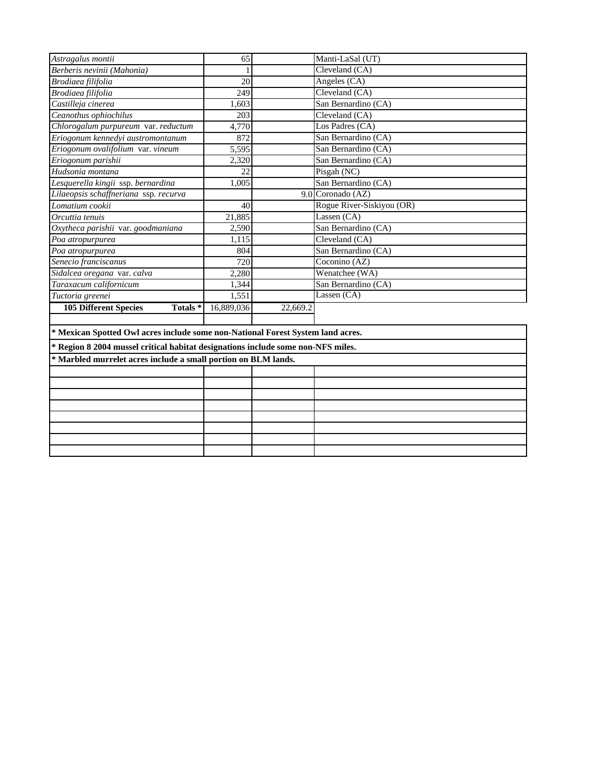| Astragalus montii                                                                | 65         |          | Manti-LaSal (UT)          |  |  |  |  |
|----------------------------------------------------------------------------------|------------|----------|---------------------------|--|--|--|--|
| Berberis nevinii (Mahonia)                                                       |            |          | Cleveland (CA)            |  |  |  |  |
| Brodiaea filifolia                                                               | 20         |          | Angeles (CA)              |  |  |  |  |
| Brodiaea filifolia                                                               | 249        |          | Cleveland (CA)            |  |  |  |  |
| Castilleja cinerea                                                               | 1,603      |          | San Bernardino (CA)       |  |  |  |  |
| Ceanothus ophiochilus                                                            | 203        |          | Cleveland (CA)            |  |  |  |  |
| Chlorogalum purpureum var. reductum                                              | 4,770      |          | Los Padres (CA)           |  |  |  |  |
| Eriogonum kennedyi austromontanum                                                | 872        |          | San Bernardino (CA)       |  |  |  |  |
| Eriogonum ovalifolium var. vineum                                                | 5,595      |          | San Bernardino (CA)       |  |  |  |  |
| Eriogonum parishii                                                               | 2,320      |          | San Bernardino (CA)       |  |  |  |  |
| Hudsonia montana                                                                 | 22         |          | Pisgah (NC)               |  |  |  |  |
| Lesquerella kingii ssp. bernardina                                               | 1,005      |          | San Bernardino (CA)       |  |  |  |  |
| Lilaeopsis schaffneriana ssp. recurva                                            |            |          | 9.0 Coronado (AZ)         |  |  |  |  |
| Lomatium cookii                                                                  | 40         |          | Rogue River-Siskiyou (OR) |  |  |  |  |
| Orcuttia tenuis                                                                  | 21,885     |          | Lassen (CA)               |  |  |  |  |
| Oxytheca parishii var. goodmaniana                                               | 2,590      |          | San Bernardino (CA)       |  |  |  |  |
| Poa atropurpurea                                                                 | 1,115      |          | Cleveland (CA)            |  |  |  |  |
| Poa atropurpurea                                                                 | 804        |          | San Bernardino (CA)       |  |  |  |  |
| Senecio franciscanus                                                             | 720        |          | Coconino (AZ)             |  |  |  |  |
| Sidalcea oregana var. calva                                                      | 2,280      |          | Wenatchee (WA)            |  |  |  |  |
| Taraxacum californicum                                                           | 1,344      |          | San Bernardino (CA)       |  |  |  |  |
| Tuctoria greenei                                                                 | 1,551      |          | Lassen $(CA)$             |  |  |  |  |
| <b>105 Different Species</b><br>Totals*                                          | 16,889,036 | 22,669.2 |                           |  |  |  |  |
|                                                                                  |            |          |                           |  |  |  |  |
| * Mexican Spotted Owl acres include some non-National Forest System land acres.  |            |          |                           |  |  |  |  |
| * Region 8 2004 mussel critical habitat designations include some non-NFS miles. |            |          |                           |  |  |  |  |
| * Marbled murrelet acres include a small portion on BLM lands.                   |            |          |                           |  |  |  |  |
|                                                                                  |            |          |                           |  |  |  |  |
|                                                                                  |            |          |                           |  |  |  |  |
|                                                                                  |            |          |                           |  |  |  |  |
|                                                                                  |            |          |                           |  |  |  |  |
|                                                                                  |            |          |                           |  |  |  |  |
|                                                                                  |            |          |                           |  |  |  |  |
|                                                                                  |            |          |                           |  |  |  |  |
|                                                                                  |            |          |                           |  |  |  |  |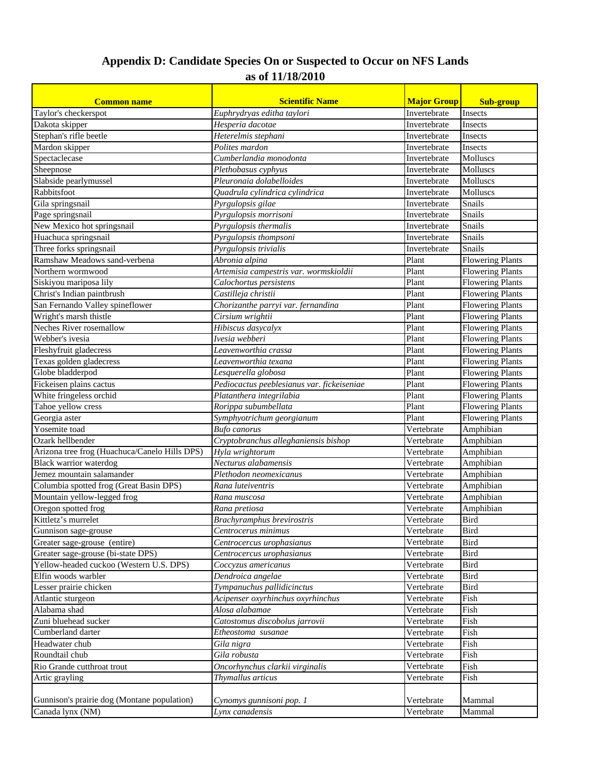## **Appendix D: Candidate Species On or Suspected to Occur on NFS Lands as of 11/18/2010**

| <b>Common name</b>                            | <b>Scientific Name</b>                     | <b>Major Group</b> | <b>Sub-group</b>        |
|-----------------------------------------------|--------------------------------------------|--------------------|-------------------------|
| Taylor's checkerspot                          | Euphrydryas editha taylori                 | Invertebrate       | Insects                 |
| Dakota skipper                                | Hesperia dacotae                           | Invertebrate       | Insects                 |
| Stephan's rifle beetle                        | Heterelmis stephani                        | Invertebrate       | Insects                 |
| Mardon skipper                                | Polites mardon                             | Invertebrate       | Insects                 |
| Spectaclecase                                 | Cumberlandia monodonta                     | Invertebrate       | <b>Molluscs</b>         |
| Sheepnose                                     | Plethobasus cyphyus                        | Invertebrate       | <b>Molluscs</b>         |
| Slabside pearlymussel                         | Pleuronaia dolabelloides                   | Invertebrate       | <b>Molluscs</b>         |
| Rabbitsfoot                                   | Quadrula cylindrica cylindrica             | Invertebrate       | Molluscs                |
| Gila springsnail                              | Pyrgulopsis gilae                          | Invertebrate       | Snails                  |
| Page springsnail                              | Pyrgulopsis morrisoni                      | Invertebrate       | Snails                  |
| New Mexico hot springsnail                    | Pyrgulopsis thermalis                      | Invertebrate       | Snails                  |
| Huachuca springsnail                          | Pyrgulopsis thompsoni                      | Invertebrate       | Snails                  |
| Three forks springsnail                       | Pyrgulopsis trivialis                      | Invertebrate       | Snails                  |
| Ramshaw Meadows sand-verbena                  | Abronia alpina                             | Plant              | <b>Flowering Plants</b> |
| Northern wormwood                             | Artemisia campestris var. wormskioldii     | Plant              | <b>Flowering Plants</b> |
| Siskiyou mariposa lily                        | Calochortus persistens                     | Plant              | <b>Flowering Plants</b> |
| Christ's Indian paintbrush                    | Castilleja christii                        | Plant              | <b>Flowering Plants</b> |
| San Fernando Valley spineflower               | Chorizanthe parryi var. fernandina         | Plant              | <b>Flowering Plants</b> |
| Wright's marsh thistle                        | Cirsium wrightii                           | Plant              | <b>Flowering Plants</b> |
| Neches River rosemallow                       | Hibiscus dasycalyx                         | Plant              | <b>Flowering Plants</b> |
| Webber's ivesia                               | Ivesia webberi                             | Plant              | <b>Flowering Plants</b> |
| Fleshyfruit gladecress                        | Leavenworthia crassa                       | Plant              | <b>Flowering Plants</b> |
| Texas golden gladecress                       | Leavenworthia texana                       | Plant              | <b>Flowering Plants</b> |
| Globe bladderpod                              | Lesquerella globosa                        | Plant              | <b>Flowering Plants</b> |
| Fickeisen plains cactus                       | Pediocactus peeblesianus var. fickeiseniae | Plant              | <b>Flowering Plants</b> |
| White fringeless orchid                       | Platanthera integrilabia                   | Plant              | <b>Flowering Plants</b> |
| Tahoe yellow cress                            | Rorippa subumbellata                       | Plant              | <b>Flowering Plants</b> |
| Georgia aster                                 | Symphyotrichum georgianum                  | Plant              | <b>Flowering Plants</b> |
| Yosemite toad                                 | <b>Bufo</b> canorus                        | Vertebrate         | Amphibian               |
| Ozark hellbender                              | Cryptobranchus alleghaniensis bishop       | Vertebrate         | Amphibian               |
| Arizona tree frog (Huachuca/Canelo Hills DPS) | Hyla wrightorum                            | Vertebrate         | Amphibian               |
| <b>Black warrior waterdog</b>                 | Necturus alabamensis                       | Vertebrate         | Amphibian               |
| Jemez mountain salamander                     | Plethodon neomexicanus                     | Vertebrate         | Amphibian               |
| Columbia spotted frog (Great Basin DPS)       | Rana luteiventris                          | Vertebrate         | Amphibian               |
| Mountain yellow-legged frog                   | Rana muscosa                               | Vertebrate         | Amphibian               |
| Oregon spotted frog                           | Rana pretiosa                              | Vertebrate         | Amphibian               |
| Kittletz's murrelet                           | <b>Brachyramphus brevirostris</b>          | Vertebrate         | <b>Bird</b>             |
| Gunnison sage-grouse                          | Centrocerus minimus                        | Vertebrate         | Bird                    |
| Greater sage-grouse (entire)                  | Centrocercus urophasianus                  | Vertebrate         | Bird                    |
| Greater sage-grouse (bi-state DPS)            | Centrocercus urophasianus                  | Vertebrate         | Bird                    |
| Yellow-headed cuckoo (Western U.S. DPS)       | Coccyzus americanus                        | Vertebrate         | Bird                    |
| Elfin woods warbler                           | Dendroica angelae                          | Vertebrate         | Bird                    |
| Lesser prairie chicken                        | Tympanuchus pallidicinctus                 | Vertebrate         | Bird                    |
| Atlantic sturgeon                             | Acipenser oxyrhinchus oxyrhinchus          | Vertebrate         | Fish                    |
| Alabama shad                                  | Alosa alabamae                             | Vertebrate         | Fish                    |
| Zuni bluehead sucker                          | Catostomus discobolus jarrovii             | Vertebrate         | Fish                    |
| Cumberland darter                             | Etheostoma susanae                         | Vertebrate         | Fish                    |
| Headwater chub                                | Gila nigra                                 | Vertebrate         | Fish                    |
| Roundtail chub                                | Gila robusta                               | Vertebrate         | Fish                    |
| Rio Grande cutthroat trout                    | Oncorhynchus clarkii virginalis            | Vertebrate         | Fish                    |
| Artic grayling                                | Thymallus articus                          | Vertebrate         | Fish                    |
|                                               |                                            |                    |                         |
| Gunnison's prairie dog (Montane population)   | Cynomys gunnisoni pop. 1                   | Vertebrate         | Mammal                  |
| Canada lynx (NM)                              | Lynx canadensis                            | Vertebrate         | Mammal                  |